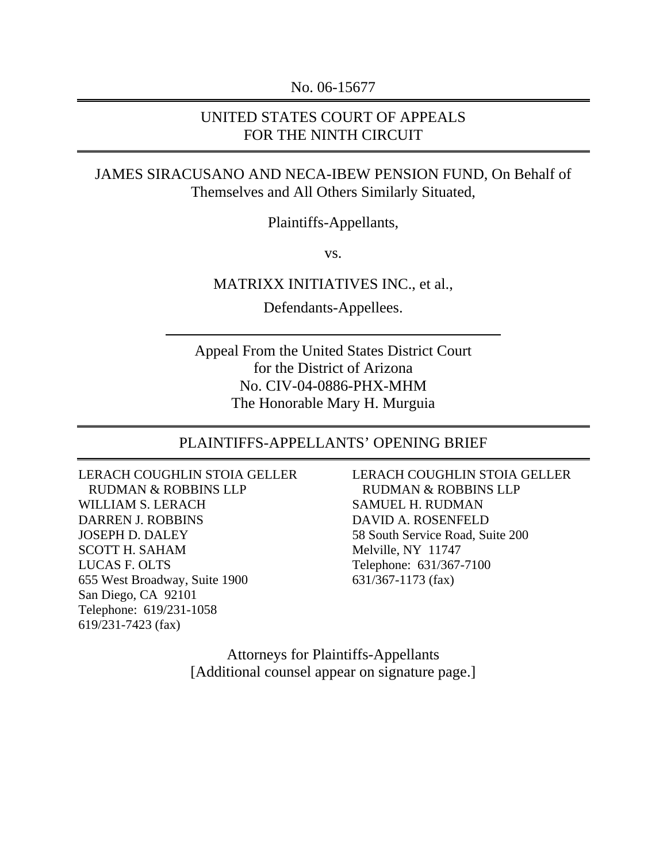No. 06-15677

### UNITED STATES COURT OF APPEALS FOR THE NINTH CIRCUIT

### JAMES SIRACUSANO AND NECA-IBEW PENSION FUND, On Behalf of Themselves and All Others Similarly Situated,

Plaintiffs-Appellants,

vs.

#### MATRIXX INITIATIVES INC., et al.,

Defendants-Appellees.

Appeal From the United States District Court for the District of Arizona No. CIV-04-0886-PHX-MHM The Honorable Mary H. Murguia

#### PLAINTIFFS-APPELLANTS' OPENING BRIEF

LERACH COUGHLIN STOIA GELLER RUDMAN & ROBBINS LLP WILLIAM S. LERACH DARREN J. ROBBINS JOSEPH D. DALEY SCOTT H. SAHAM LUCAS F. OLTS 655 West Broadway, Suite 1900 San Diego, CA 92101 Telephone: 619/231-1058 619/231-7423 (fax)

LERACH COUGHLIN STOIA GELLER RUDMAN & ROBBINS LLP SAMUEL H. RUDMAN DAVID A. ROSENFELD 58 South Service Road, Suite 200 Melville, NY 11747 Telephone: 631/367-7100 631/367-1173 (fax)

Attorneys for Plaintiffs-Appellants [Additional counsel appear on signature page.]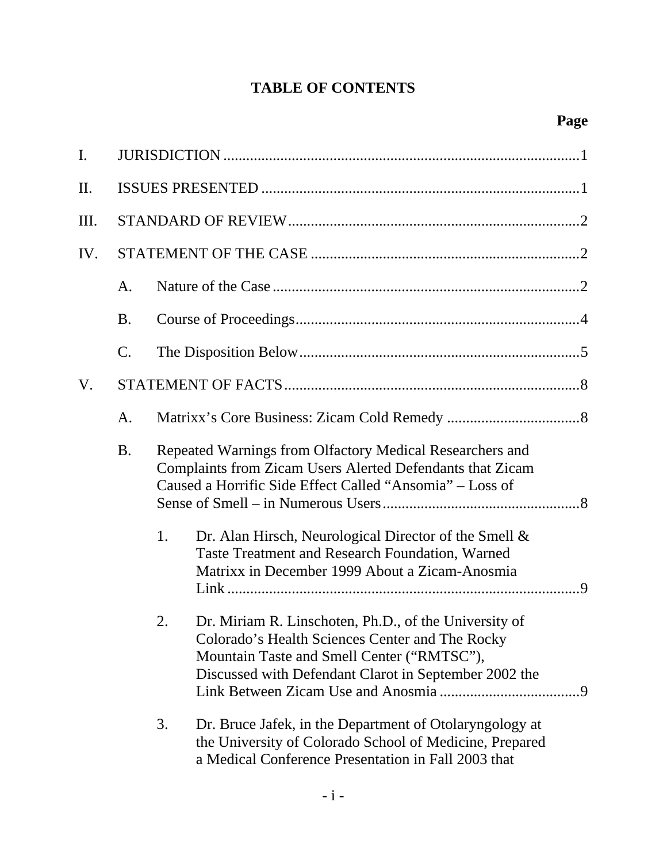# **TABLE OF CONTENTS**

| I.  |           |    |                                                                                                                                                                                                                 |  |  |
|-----|-----------|----|-----------------------------------------------------------------------------------------------------------------------------------------------------------------------------------------------------------------|--|--|
| II. |           |    |                                                                                                                                                                                                                 |  |  |
| Ш.  |           |    |                                                                                                                                                                                                                 |  |  |
| IV. |           |    |                                                                                                                                                                                                                 |  |  |
|     | A.        |    |                                                                                                                                                                                                                 |  |  |
|     | <b>B.</b> |    |                                                                                                                                                                                                                 |  |  |
|     | C.        |    |                                                                                                                                                                                                                 |  |  |
| V.  |           |    |                                                                                                                                                                                                                 |  |  |
|     | A.        |    |                                                                                                                                                                                                                 |  |  |
|     | <b>B.</b> |    | Repeated Warnings from Olfactory Medical Researchers and<br>Complaints from Zicam Users Alerted Defendants that Zicam<br>Caused a Horrific Side Effect Called "Ansomia" - Loss of                               |  |  |
|     |           | 1. | Dr. Alan Hirsch, Neurological Director of the Smell &<br>Taste Treatment and Research Foundation, Warned<br>Matrixx in December 1999 About a Zicam-Anosmia                                                      |  |  |
|     |           | 2. | Dr. Miriam R. Linschoten, Ph.D., of the University of<br>Colorado's Health Sciences Center and The Rocky<br>Mountain Taste and Smell Center ("RMTSC"),<br>Discussed with Defendant Clarot in September 2002 the |  |  |
|     |           | 3. | Dr. Bruce Jafek, in the Department of Otolaryngology at<br>the University of Colorado School of Medicine, Prepared<br>a Medical Conference Presentation in Fall 2003 that                                       |  |  |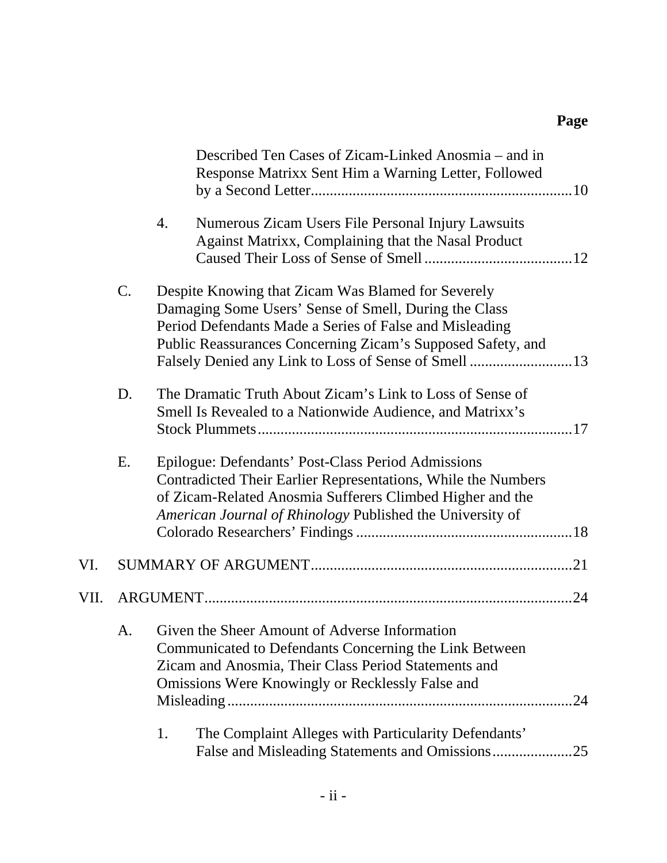|      |       | Described Ten Cases of Zicam-Linked Anosmia – and in<br>Response Matrixx Sent Him a Warning Letter, Followed                                                                                                                                                                                  |  |
|------|-------|-----------------------------------------------------------------------------------------------------------------------------------------------------------------------------------------------------------------------------------------------------------------------------------------------|--|
|      |       | Numerous Zicam Users File Personal Injury Lawsuits<br>4.<br>Against Matrixx, Complaining that the Nasal Product                                                                                                                                                                               |  |
|      | $C$ . | Despite Knowing that Zicam Was Blamed for Severely<br>Damaging Some Users' Sense of Smell, During the Class<br>Period Defendants Made a Series of False and Misleading<br>Public Reassurances Concerning Zicam's Supposed Safety, and<br>Falsely Denied any Link to Loss of Sense of Smell 13 |  |
|      | D.    | The Dramatic Truth About Zicam's Link to Loss of Sense of<br>Smell Is Revealed to a Nationwide Audience, and Matrixx's                                                                                                                                                                        |  |
|      | Е.    | Epilogue: Defendants' Post-Class Period Admissions<br>Contradicted Their Earlier Representations, While the Numbers<br>of Zicam-Related Anosmia Sufferers Climbed Higher and the<br>American Journal of Rhinology Published the University of                                                 |  |
| VI.  |       |                                                                                                                                                                                                                                                                                               |  |
| VII. |       |                                                                                                                                                                                                                                                                                               |  |
|      | A.    | Given the Sheer Amount of Adverse Information<br>Communicated to Defendants Concerning the Link Between<br>Zicam and Anosmia, Their Class Period Statements and<br>Omissions Were Knowingly or Recklessly False and<br>The Complaint Alleges with Particularity Defendants'                   |  |
|      |       | 1.<br>False and Misleading Statements and Omissions25                                                                                                                                                                                                                                         |  |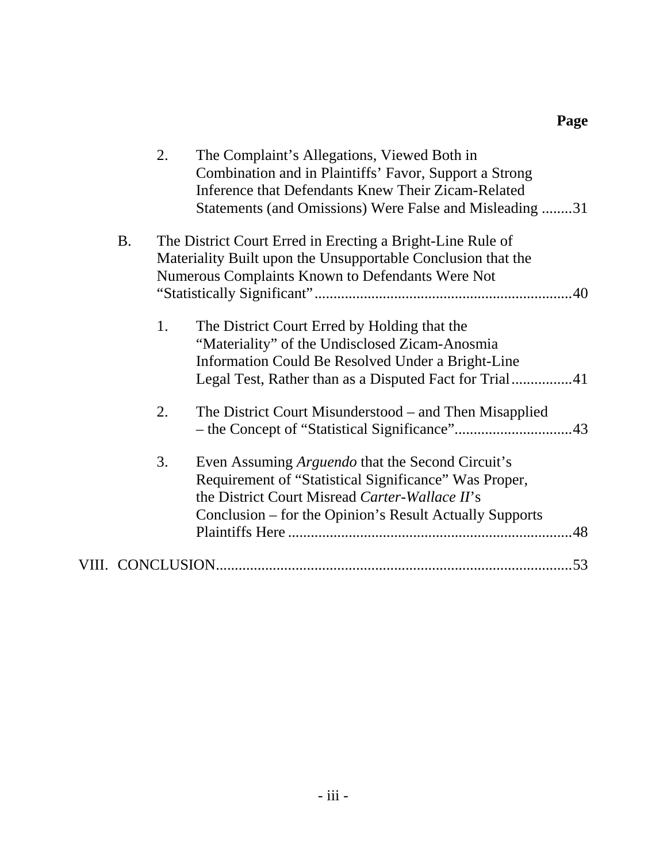|           | 2. | The Complaint's Allegations, Viewed Both in<br>Combination and in Plaintiffs' Favor, Support a Strong<br>Inference that Defendants Knew Their Zicam-Related<br>Statements (and Omissions) Were False and Misleading 31        |
|-----------|----|-------------------------------------------------------------------------------------------------------------------------------------------------------------------------------------------------------------------------------|
| <b>B.</b> |    | The District Court Erred in Erecting a Bright-Line Rule of<br>Materiality Built upon the Unsupportable Conclusion that the<br>Numerous Complaints Known to Defendants Were Not                                                |
|           | 1. | The District Court Erred by Holding that the<br>"Materiality" of the Undisclosed Zicam-Anosmia<br>Information Could Be Resolved Under a Bright-Line                                                                           |
|           | 2. | The District Court Misunderstood – and Then Misapplied                                                                                                                                                                        |
|           | 3. | Even Assuming <i>Arguendo</i> that the Second Circuit's<br>Requirement of "Statistical Significance" Was Proper,<br>the District Court Misread Carter-Wallace II's<br>Conclusion – for the Opinion's Result Actually Supports |
|           |    | .53                                                                                                                                                                                                                           |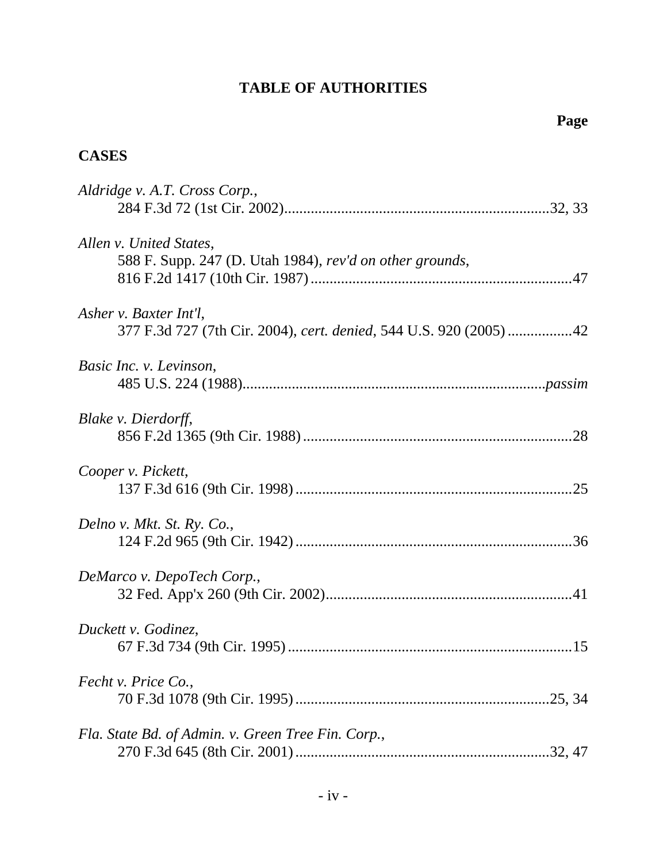# **TABLE OF AUTHORITIES**

# **CASES**

| Aldridge v. A.T. Cross Corp.,                                                               |
|---------------------------------------------------------------------------------------------|
| Allen v. United States,<br>588 F. Supp. 247 (D. Utah 1984), rev'd on other grounds,         |
| Asher v. Baxter Int'l.<br>377 F.3d 727 (7th Cir. 2004), cert. denied, 544 U.S. 920 (2005)42 |
| Basic Inc. v. Levinson,                                                                     |
| Blake v. Dierdorff,                                                                         |
| Cooper v. Pickett,                                                                          |
| Delno v. Mkt. St. Ry. Co.,                                                                  |
| DeMarco v. DepoTech Corp.,                                                                  |
| Duckett v. Godinez,                                                                         |
| Fecht v. Price Co.,                                                                         |
| Fla. State Bd. of Admin. v. Green Tree Fin. Corp.,                                          |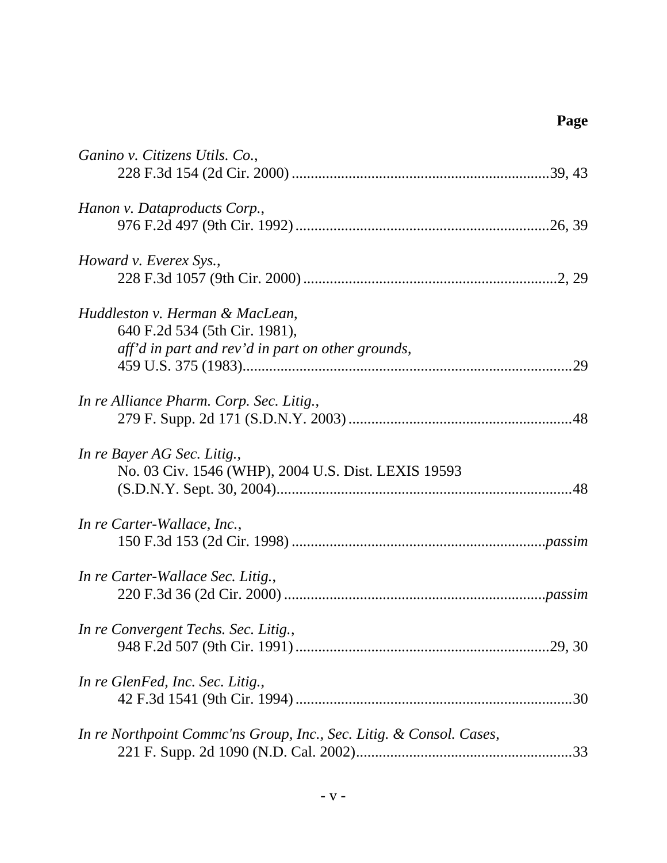| Ganino v. Citizens Utils. Co.,                                                                                        |
|-----------------------------------------------------------------------------------------------------------------------|
| Hanon v. Dataproducts Corp.,                                                                                          |
| Howard v. Everex Sys.,                                                                                                |
| Huddleston v. Herman & MacLean,<br>640 F.2d 534 (5th Cir. 1981),<br>aff'd in part and rev'd in part on other grounds, |
| In re Alliance Pharm. Corp. Sec. Litig.,                                                                              |
| In re Bayer AG Sec. Litig.,<br>No. 03 Civ. 1546 (WHP), 2004 U.S. Dist. LEXIS 19593                                    |
| In re Carter-Wallace, Inc.,                                                                                           |
| In re Carter-Wallace Sec. Litig.,                                                                                     |
| In re Convergent Techs. Sec. Litig.                                                                                   |
| In re GlenFed, Inc. Sec. Litig.,<br>.30                                                                               |
| In re Northpoint Commc'ns Group, Inc., Sec. Litig. & Consol. Cases,                                                   |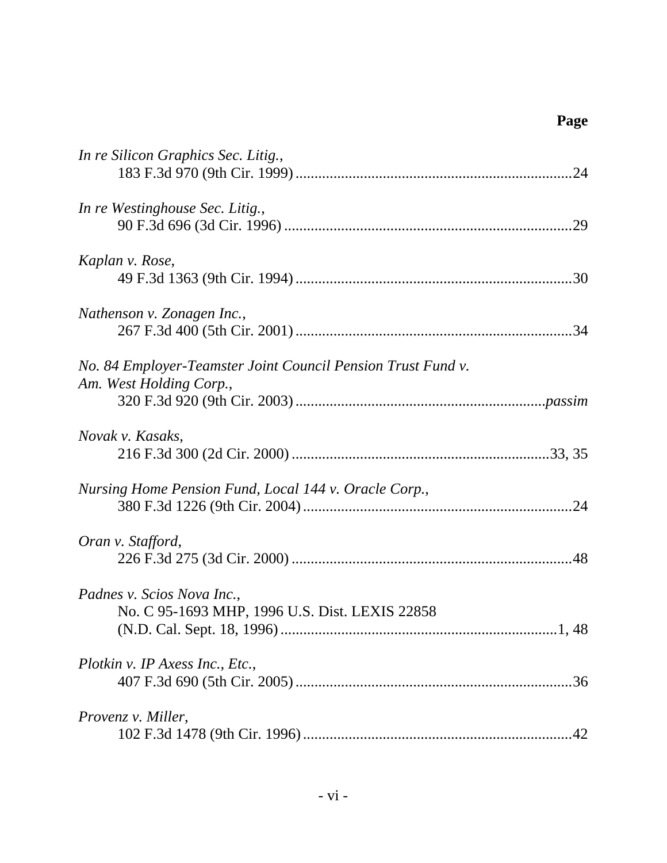| In re Silicon Graphics Sec. Litig.,                                                     |
|-----------------------------------------------------------------------------------------|
| In re Westinghouse Sec. Litig.,                                                         |
| Kaplan v. Rose,                                                                         |
| Nathenson v. Zonagen Inc.,                                                              |
| No. 84 Employer-Teamster Joint Council Pension Trust Fund v.<br>Am. West Holding Corp., |
| Novak v. Kasaks,                                                                        |
| Nursing Home Pension Fund, Local 144 v. Oracle Corp.,                                   |
| Oran v. Stafford,                                                                       |
| Padnes v. Scios Nova Inc.,<br>No. C 95-1693 MHP, 1996 U.S. Dist. LEXIS 22858            |
| Plotkin v. IP Axess Inc., Etc.,<br>.36                                                  |
| Provenz v. Miller,<br>42                                                                |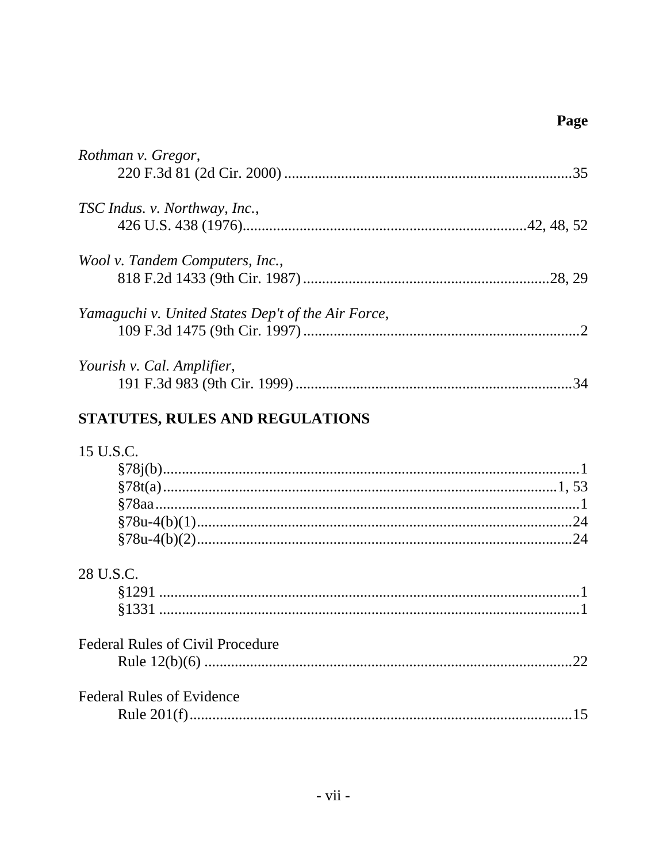| Rothman v. Gregor,                                 |
|----------------------------------------------------|
| TSC Indus. v. Northway, Inc.,                      |
| Wool v. Tandem Computers, Inc.,                    |
| Yamaguchi v. United States Dep't of the Air Force, |
| Yourish v. Cal. Amplifier,                         |
| STATUTES, RULES AND REGULATIONS                    |
| 15 U.S.C.                                          |
| 28 U.S.C.                                          |
| <b>Federal Rules of Civil Procedure</b><br>.22     |
| <b>Federal Rules of Evidence</b>                   |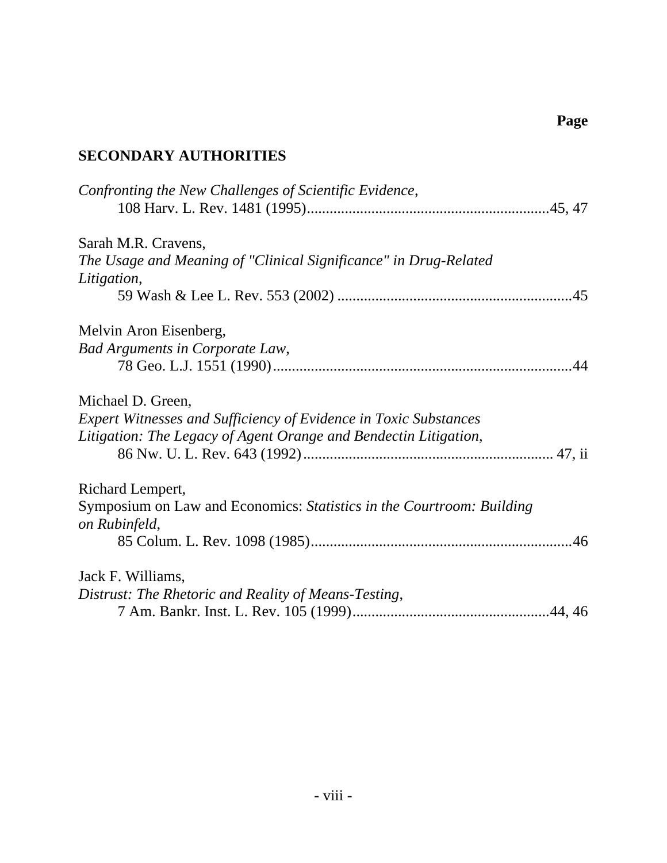# **SECONDARY AUTHORITIES**

| Confronting the New Challenges of Scientific Evidence,                  |  |
|-------------------------------------------------------------------------|--|
| Sarah M.R. Cravens,                                                     |  |
| The Usage and Meaning of "Clinical Significance" in Drug-Related        |  |
| Litigation,                                                             |  |
|                                                                         |  |
| Melvin Aron Eisenberg,                                                  |  |
| Bad Arguments in Corporate Law,                                         |  |
|                                                                         |  |
| Michael D. Green,                                                       |  |
| <b>Expert Witnesses and Sufficiency of Evidence in Toxic Substances</b> |  |
| Litigation: The Legacy of Agent Orange and Bendectin Litigation,        |  |
|                                                                         |  |
| Richard Lempert,                                                        |  |
| Symposium on Law and Economics: Statistics in the Courtroom: Building   |  |
| on Rubinfeld,                                                           |  |
|                                                                         |  |
| Jack F. Williams,                                                       |  |
| Distrust: The Rhetoric and Reality of Means-Testing,                    |  |
|                                                                         |  |
|                                                                         |  |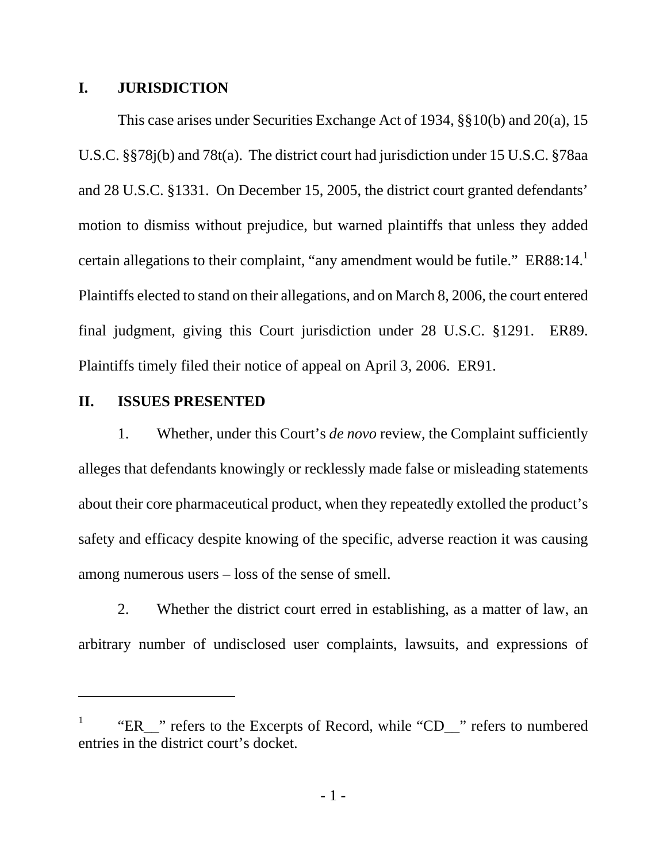#### **I. JURISDICTION**

This case arises under Securities Exchange Act of 1934, §§10(b) and 20(a), 15 U.S.C. §§78j(b) and 78t(a). The district court had jurisdiction under 15 U.S.C. §78aa and 28 U.S.C. §1331. On December 15, 2005, the district court granted defendants' motion to dismiss without prejudice, but warned plaintiffs that unless they added certain allegations to their complaint, "any amendment would be futile."  $ER88:14.^1$ Plaintiffs elected to stand on their allegations, and on March 8, 2006, the court entered final judgment, giving this Court jurisdiction under 28 U.S.C. §1291. ER89. Plaintiffs timely filed their notice of appeal on April 3, 2006. ER91.

### **II. ISSUES PRESENTED**

-

1. Whether, under this Court's *de novo* review, the Complaint sufficiently alleges that defendants knowingly or recklessly made false or misleading statements about their core pharmaceutical product, when they repeatedly extolled the product's safety and efficacy despite knowing of the specific, adverse reaction it was causing among numerous users – loss of the sense of smell.

2. Whether the district court erred in establishing, as a matter of law, an arbitrary number of undisclosed user complaints, lawsuits, and expressions of

<sup>1</sup> "ER\_\_" refers to the Excerpts of Record, while "CD\_\_" refers to numbered entries in the district court's docket.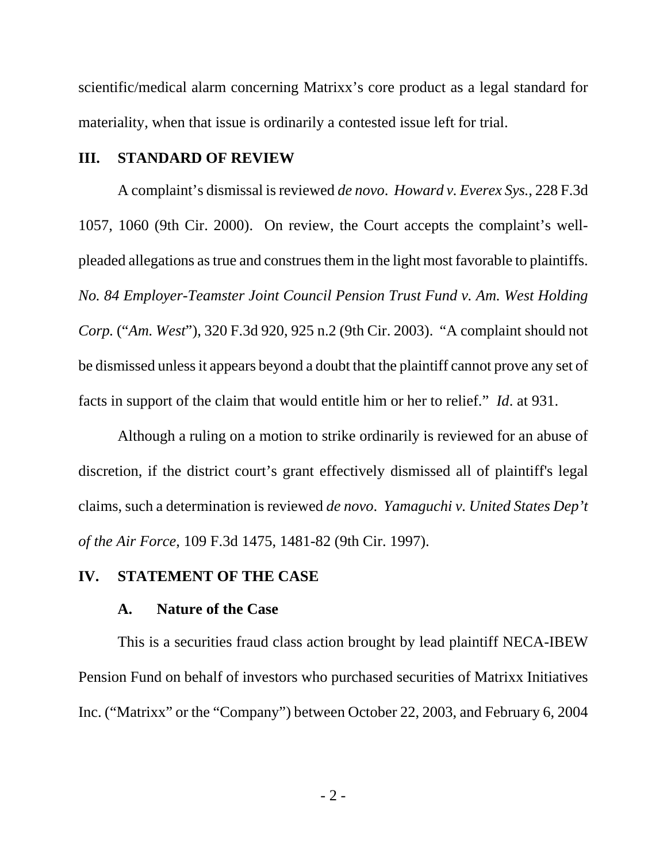scientific/medical alarm concerning Matrixx's core product as a legal standard for materiality, when that issue is ordinarily a contested issue left for trial.

#### **III. STANDARD OF REVIEW**

A complaint's dismissal is reviewed *de novo*. *Howard v. Everex Sys.*, 228 F.3d 1057, 1060 (9th Cir. 2000). On review, the Court accepts the complaint's wellpleaded allegations as true and construes them in the light most favorable to plaintiffs. *No. 84 Employer-Teamster Joint Council Pension Trust Fund v. Am. West Holding Corp.* ("*Am. West*"), 320 F.3d 920, 925 n.2 (9th Cir. 2003). "A complaint should not be dismissed unless it appears beyond a doubt that the plaintiff cannot prove any set of facts in support of the claim that would entitle him or her to relief." *Id*. at 931.

Although a ruling on a motion to strike ordinarily is reviewed for an abuse of discretion, if the district court's grant effectively dismissed all of plaintiff's legal claims, such a determination is reviewed *de novo*. *Yamaguchi v. United States Dep't of the Air Force*, 109 F.3d 1475, 1481-82 (9th Cir. 1997).

#### **IV. STATEMENT OF THE CASE**

#### **A. Nature of the Case**

This is a securities fraud class action brought by lead plaintiff NECA-IBEW Pension Fund on behalf of investors who purchased securities of Matrixx Initiatives Inc. ("Matrixx" or the "Company") between October 22, 2003, and February 6, 2004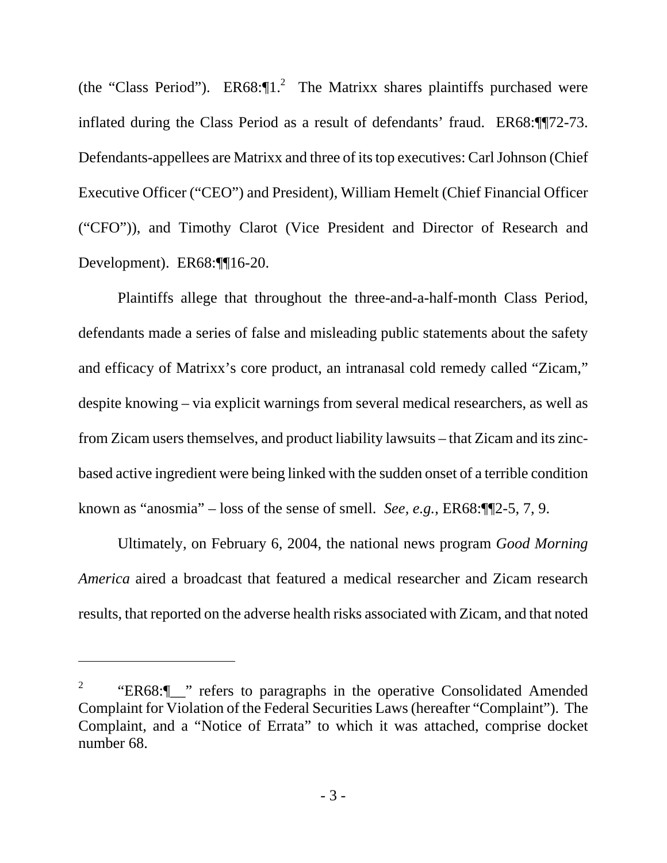(the "Class Period").  $ER68:$ <sup>[1.<sup>2</sup> The Matrixx shares plaintiffs purchased were</sup> inflated during the Class Period as a result of defendants' fraud. ER68:¶¶72-73. Defendants-appellees are Matrixx and three of its top executives: Carl Johnson (Chief Executive Officer ("CEO") and President), William Hemelt (Chief Financial Officer ("CFO")), and Timothy Clarot (Vice President and Director of Research and Development). ER68:¶16-20.

Plaintiffs allege that throughout the three-and-a-half-month Class Period, defendants made a series of false and misleading public statements about the safety and efficacy of Matrixx's core product, an intranasal cold remedy called "Zicam," despite knowing – via explicit warnings from several medical researchers, as well as from Zicam users themselves, and product liability lawsuits – that Zicam and its zincbased active ingredient were being linked with the sudden onset of a terrible condition known as "anosmia" – loss of the sense of smell. *See, e.g.*, ER68:¶¶2-5, 7, 9.

Ultimately, on February 6, 2004, the national news program *Good Morning America* aired a broadcast that featured a medical researcher and Zicam research results, that reported on the adverse health risks associated with Zicam, and that noted

 $\overline{a}$ 

<sup>2</sup> "ER68:¶\_\_" refers to paragraphs in the operative Consolidated Amended Complaint for Violation of the Federal Securities Laws (hereafter "Complaint"). The Complaint, and a "Notice of Errata" to which it was attached, comprise docket number 68.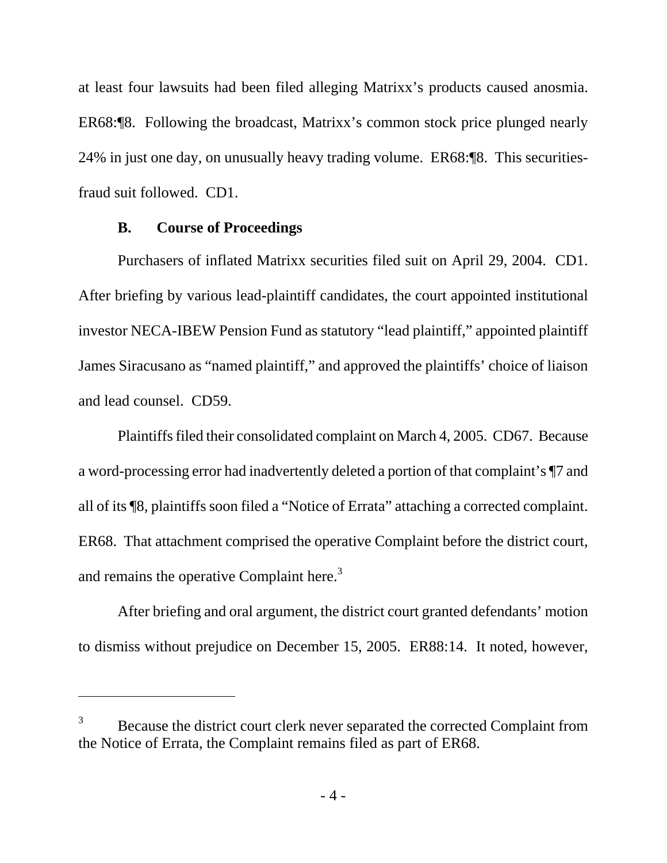at least four lawsuits had been filed alleging Matrixx's products caused anosmia. ER68:¶8. Following the broadcast, Matrixx's common stock price plunged nearly 24% in just one day, on unusually heavy trading volume. ER68:¶8. This securitiesfraud suit followed. CD1.

#### **B. Course of Proceedings**

 $\overline{a}$ 

Purchasers of inflated Matrixx securities filed suit on April 29, 2004. CD1. After briefing by various lead-plaintiff candidates, the court appointed institutional investor NECA-IBEW Pension Fund as statutory "lead plaintiff," appointed plaintiff James Siracusano as "named plaintiff," and approved the plaintiffs' choice of liaison and lead counsel. CD59.

Plaintiffs filed their consolidated complaint on March 4, 2005. CD67. Because a word-processing error had inadvertently deleted a portion of that complaint's ¶7 and all of its ¶8, plaintiffs soon filed a "Notice of Errata" attaching a corrected complaint. ER68. That attachment comprised the operative Complaint before the district court, and remains the operative Complaint here. $3$ 

After briefing and oral argument, the district court granted defendants' motion to dismiss without prejudice on December 15, 2005. ER88:14. It noted, however,

<sup>3</sup> Because the district court clerk never separated the corrected Complaint from the Notice of Errata, the Complaint remains filed as part of ER68.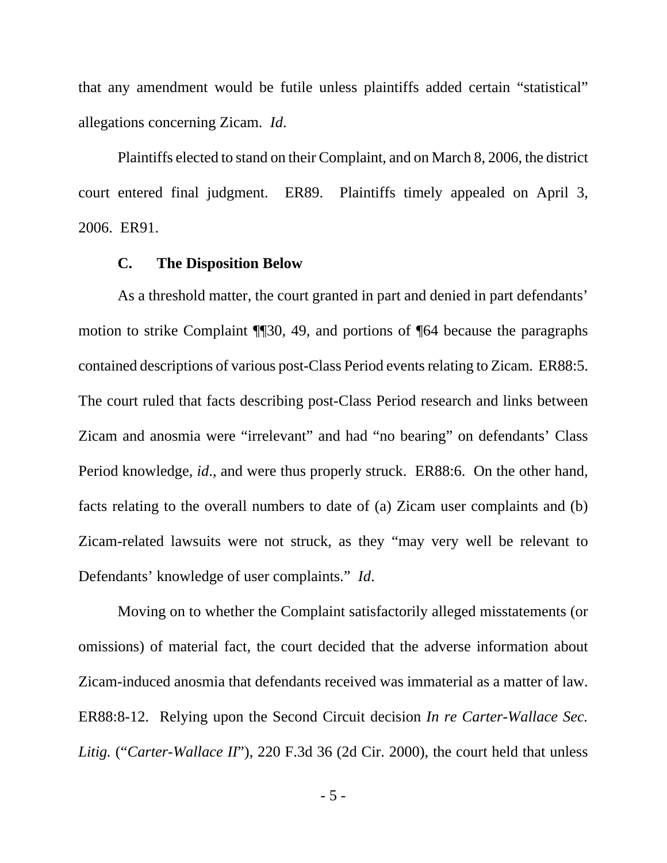that any amendment would be futile unless plaintiffs added certain "statistical" allegations concerning Zicam. *Id*.

Plaintiffs elected to stand on their Complaint, and on March 8, 2006, the district court entered final judgment. ER89. Plaintiffs timely appealed on April 3, 2006. ER91.

#### **C. The Disposition Below**

As a threshold matter, the court granted in part and denied in part defendants' motion to strike Complaint ¶¶30, 49, and portions of ¶64 because the paragraphs contained descriptions of various post-Class Period events relating to Zicam. ER88:5. The court ruled that facts describing post-Class Period research and links between Zicam and anosmia were "irrelevant" and had "no bearing" on defendants' Class Period knowledge, *id*., and were thus properly struck. ER88:6. On the other hand, facts relating to the overall numbers to date of (a) Zicam user complaints and (b) Zicam-related lawsuits were not struck, as they "may very well be relevant to Defendants' knowledge of user complaints." *Id*.

Moving on to whether the Complaint satisfactorily alleged misstatements (or omissions) of material fact, the court decided that the adverse information about Zicam-induced anosmia that defendants received was immaterial as a matter of law. ER88:8-12. Relying upon the Second Circuit decision *In re Carter-Wallace Sec. Litig.* ("*Carter-Wallace II*"), 220 F.3d 36 (2d Cir. 2000), the court held that unless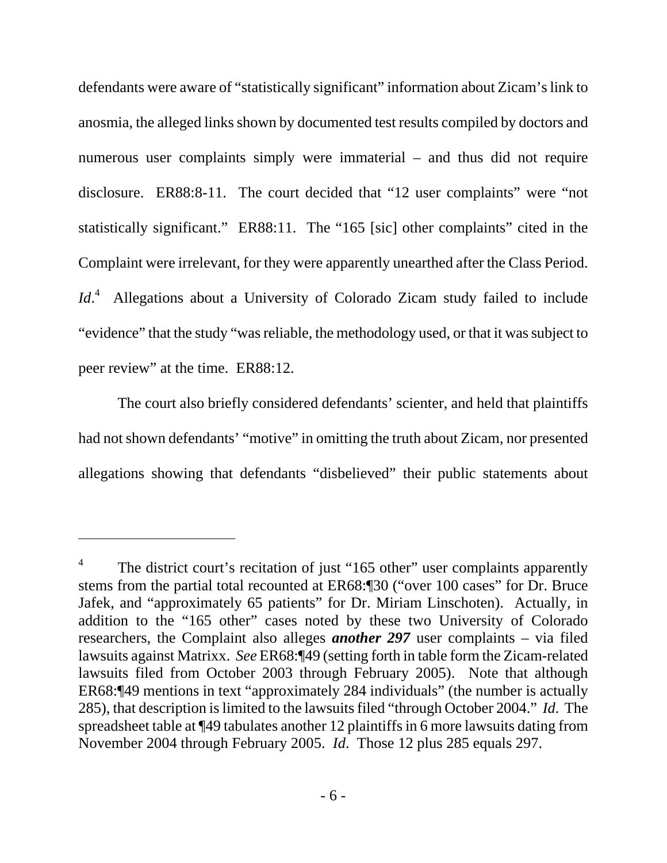defendants were aware of "statistically significant" information about Zicam's link to anosmia, the alleged links shown by documented test results compiled by doctors and numerous user complaints simply were immaterial – and thus did not require disclosure. ER88:8-11. The court decided that "12 user complaints" were "not statistically significant." ER88:11. The "165 [sic] other complaints" cited in the Complaint were irrelevant, for they were apparently unearthed after the Class Period. *Id*. 4 Allegations about a University of Colorado Zicam study failed to include "evidence" that the study "was reliable, the methodology used, or that it was subject to peer review" at the time. ER88:12.

The court also briefly considered defendants' scienter, and held that plaintiffs had not shown defendants' "motive" in omitting the truth about Zicam, nor presented allegations showing that defendants "disbelieved" their public statements about

-

<sup>4</sup> The district court's recitation of just "165 other" user complaints apparently stems from the partial total recounted at ER68:¶30 ("over 100 cases" for Dr. Bruce Jafek, and "approximately 65 patients" for Dr. Miriam Linschoten). Actually, in addition to the "165 other" cases noted by these two University of Colorado researchers, the Complaint also alleges *another 297* user complaints – via filed lawsuits against Matrixx. *See* ER68:¶49 (setting forth in table form the Zicam-related lawsuits filed from October 2003 through February 2005). Note that although ER68:¶49 mentions in text "approximately 284 individuals" (the number is actually 285), that description is limited to the lawsuits filed "through October 2004." *Id*. The spreadsheet table at ¶49 tabulates another 12 plaintiffs in 6 more lawsuits dating from November 2004 through February 2005. *Id*. Those 12 plus 285 equals 297.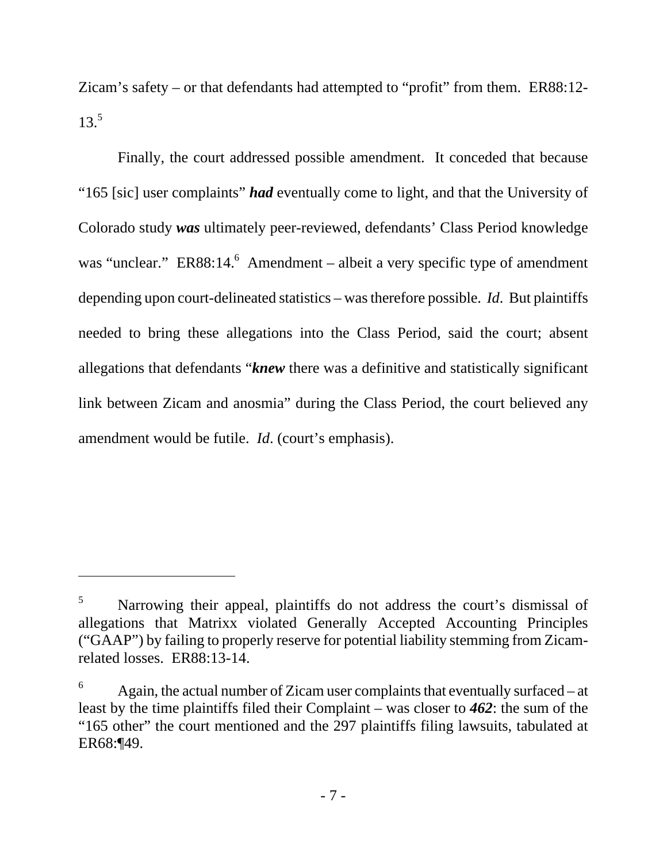Zicam's safety – or that defendants had attempted to "profit" from them. ER88:12-  $13.5$ 

Finally, the court addressed possible amendment. It conceded that because "165 [sic] user complaints" *had* eventually come to light, and that the University of Colorado study *was* ultimately peer-reviewed, defendants' Class Period knowledge was "unclear."  $ER88:14.^6$  Amendment – albeit a very specific type of amendment depending upon court-delineated statistics – was therefore possible. *Id*. But plaintiffs needed to bring these allegations into the Class Period, said the court; absent allegations that defendants "*knew* there was a definitive and statistically significant link between Zicam and anosmia" during the Class Period, the court believed any amendment would be futile. *Id*. (court's emphasis).

 $\overline{a}$ 

<sup>5</sup> Narrowing their appeal, plaintiffs do not address the court's dismissal of allegations that Matrixx violated Generally Accepted Accounting Principles ("GAAP") by failing to properly reserve for potential liability stemming from Zicamrelated losses. ER88:13-14.

<sup>6</sup> Again, the actual number of Zicam user complaints that eventually surfaced – at least by the time plaintiffs filed their Complaint – was closer to *462*: the sum of the "165 other" the court mentioned and the 297 plaintiffs filing lawsuits, tabulated at ER68:¶49.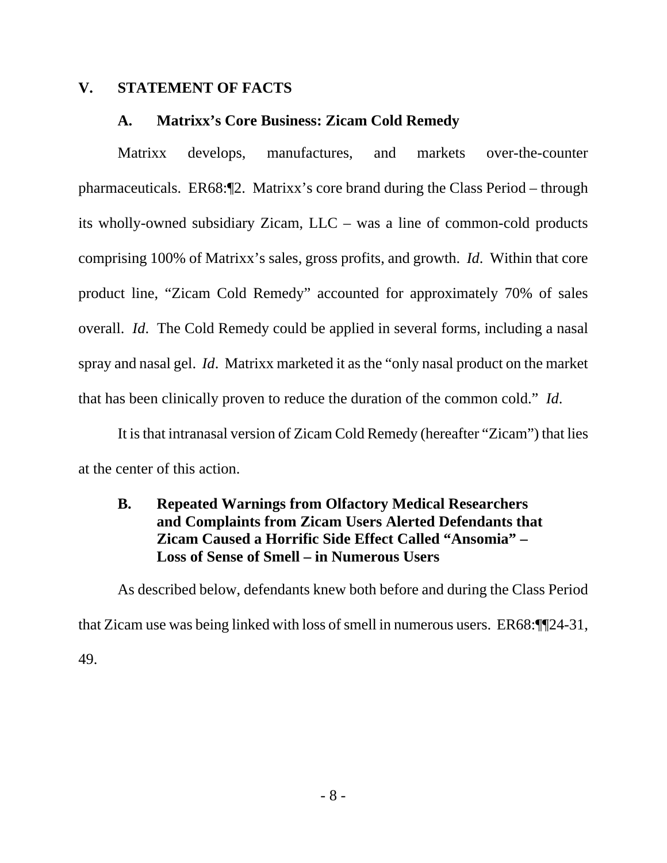### **V. STATEMENT OF FACTS**

#### **A. Matrixx's Core Business: Zicam Cold Remedy**

Matrixx develops, manufactures, and markets over-the-counter pharmaceuticals. ER68:¶2. Matrixx's core brand during the Class Period – through its wholly-owned subsidiary Zicam, LLC – was a line of common-cold products comprising 100% of Matrixx's sales, gross profits, and growth. *Id*. Within that core product line, "Zicam Cold Remedy" accounted for approximately 70% of sales overall. *Id*. The Cold Remedy could be applied in several forms, including a nasal spray and nasal gel. *Id*. Matrixx marketed it as the "only nasal product on the market that has been clinically proven to reduce the duration of the common cold." *Id*.

It is that intranasal version of Zicam Cold Remedy (hereafter "Zicam") that lies at the center of this action.

## **B. Repeated Warnings from Olfactory Medical Researchers and Complaints from Zicam Users Alerted Defendants that Zicam Caused a Horrific Side Effect Called "Ansomia" – Loss of Sense of Smell – in Numerous Users**

As described below, defendants knew both before and during the Class Period that Zicam use was being linked with loss of smell in numerous users. ER68:¶¶24-31, 49.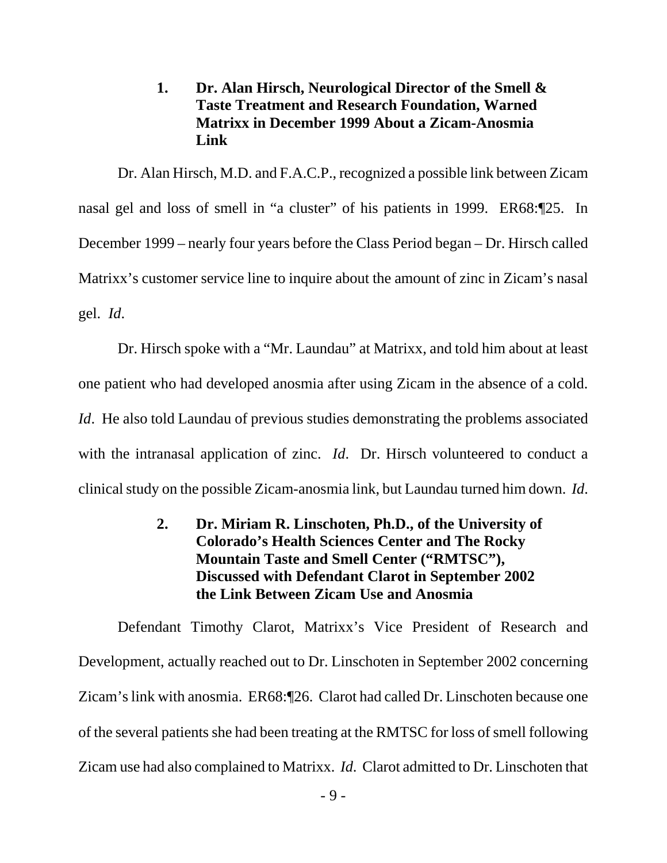## **1. Dr. Alan Hirsch, Neurological Director of the Smell & Taste Treatment and Research Foundation, Warned Matrixx in December 1999 About a Zicam-Anosmia Link**

Dr. Alan Hirsch, M.D. and F.A.C.P., recognized a possible link between Zicam nasal gel and loss of smell in "a cluster" of his patients in 1999. ER68:¶25. In December 1999 – nearly four years before the Class Period began – Dr. Hirsch called Matrixx's customer service line to inquire about the amount of zinc in Zicam's nasal gel. *Id*.

Dr. Hirsch spoke with a "Mr. Laundau" at Matrixx, and told him about at least one patient who had developed anosmia after using Zicam in the absence of a cold. *Id.* He also told Laundau of previous studies demonstrating the problems associated with the intranasal application of zinc. *Id*. Dr. Hirsch volunteered to conduct a clinical study on the possible Zicam-anosmia link, but Laundau turned him down. *Id*.

## **2. Dr. Miriam R. Linschoten, Ph.D., of the University of Colorado's Health Sciences Center and The Rocky Mountain Taste and Smell Center ("RMTSC"), Discussed with Defendant Clarot in September 2002 the Link Between Zicam Use and Anosmia**

Defendant Timothy Clarot, Matrixx's Vice President of Research and Development, actually reached out to Dr. Linschoten in September 2002 concerning Zicam's link with anosmia. ER68:¶26. Clarot had called Dr. Linschoten because one of the several patients she had been treating at the RMTSC for loss of smell following Zicam use had also complained to Matrixx. *Id*. Clarot admitted to Dr. Linschoten that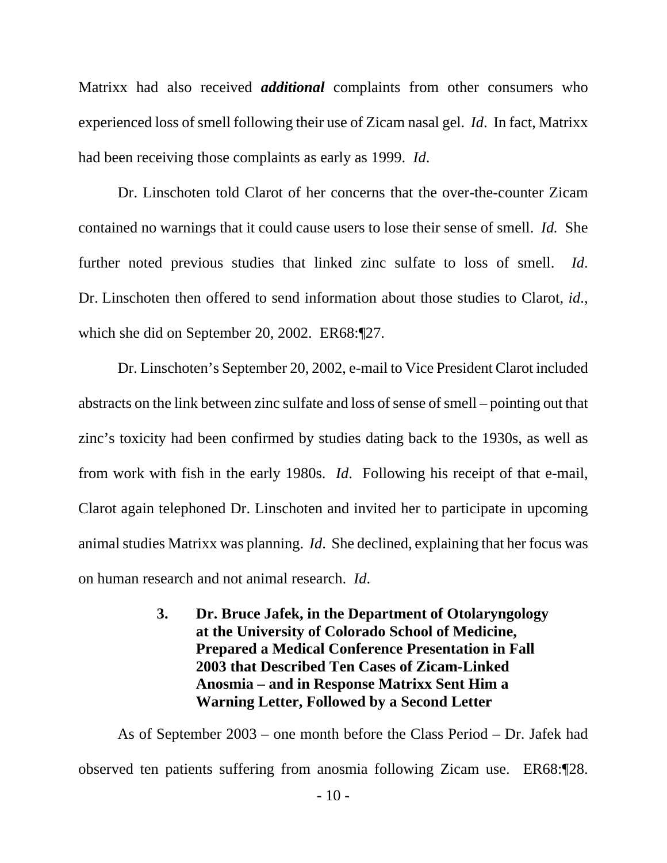Matrixx had also received *additional* complaints from other consumers who experienced loss of smell following their use of Zicam nasal gel. *Id*. In fact, Matrixx had been receiving those complaints as early as 1999. *Id*.

Dr. Linschoten told Clarot of her concerns that the over-the-counter Zicam contained no warnings that it could cause users to lose their sense of smell. *Id.* She further noted previous studies that linked zinc sulfate to loss of smell. *Id*. Dr. Linschoten then offered to send information about those studies to Clarot, *id*., which she did on September 20, 2002. ER68:¶27.

Dr. Linschoten's September 20, 2002, e-mail to Vice President Clarot included abstracts on the link between zinc sulfate and loss of sense of smell – pointing out that zinc's toxicity had been confirmed by studies dating back to the 1930s, as well as from work with fish in the early 1980s. *Id*. Following his receipt of that e-mail, Clarot again telephoned Dr. Linschoten and invited her to participate in upcoming animal studies Matrixx was planning. *Id*. She declined, explaining that her focus was on human research and not animal research. *Id*.

## **3. Dr. Bruce Jafek, in the Department of Otolaryngology at the University of Colorado School of Medicine, Prepared a Medical Conference Presentation in Fall 2003 that Described Ten Cases of Zicam-Linked Anosmia – and in Response Matrixx Sent Him a Warning Letter, Followed by a Second Letter**

As of September 2003 – one month before the Class Period – Dr. Jafek had observed ten patients suffering from anosmia following Zicam use. ER68:¶28.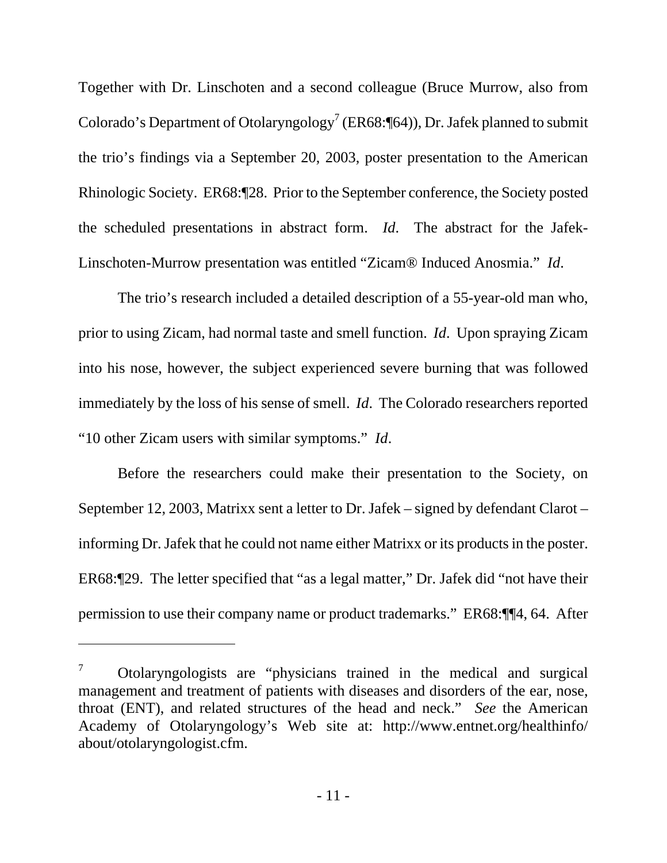Together with Dr. Linschoten and a second colleague (Bruce Murrow, also from Colorado's Department of Otolaryngology<sup>7</sup> (ER68:¶64)), Dr. Jafek planned to submit the trio's findings via a September 20, 2003, poster presentation to the American Rhinologic Society. ER68:¶28. Prior to the September conference, the Society posted the scheduled presentations in abstract form. *Id*. The abstract for the Jafek-Linschoten-Murrow presentation was entitled "Zicam® Induced Anosmia." *Id*.

The trio's research included a detailed description of a 55-year-old man who, prior to using Zicam, had normal taste and smell function. *Id*. Upon spraying Zicam into his nose, however, the subject experienced severe burning that was followed immediately by the loss of his sense of smell. *Id*. The Colorado researchers reported "10 other Zicam users with similar symptoms." *Id*.

Before the researchers could make their presentation to the Society, on September 12, 2003, Matrixx sent a letter to Dr. Jafek – signed by defendant Clarot – informing Dr. Jafek that he could not name either Matrixx or its products in the poster. ER68:¶29. The letter specified that "as a legal matter," Dr. Jafek did "not have their permission to use their company name or product trademarks." ER68:¶¶4, 64. After

-

<sup>7</sup> Otolaryngologists are "physicians trained in the medical and surgical management and treatment of patients with diseases and disorders of the ear, nose, throat (ENT), and related structures of the head and neck." *See* the American Academy of Otolaryngology's Web site at: http://www.entnet.org/healthinfo/ about/otolaryngologist.cfm.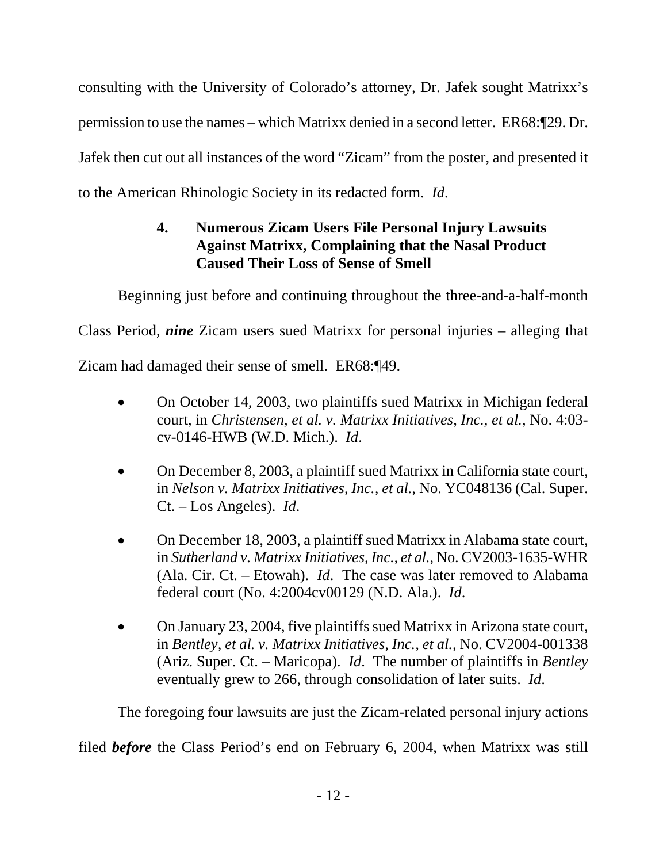consulting with the University of Colorado's attorney, Dr. Jafek sought Matrixx's permission to use the names – which Matrixx denied in a second letter. ER68:¶29. Dr. Jafek then cut out all instances of the word "Zicam" from the poster, and presented it to the American Rhinologic Society in its redacted form. *Id*.

## **4. Numerous Zicam Users File Personal Injury Lawsuits Against Matrixx, Complaining that the Nasal Product Caused Their Loss of Sense of Smell**

Beginning just before and continuing throughout the three-and-a-half-month

Class Period, *nine* Zicam users sued Matrixx for personal injuries – alleging that

Zicam had damaged their sense of smell. ER68:¶49.

- On October 14, 2003, two plaintiffs sued Matrixx in Michigan federal court, in *Christensen, et al. v. Matrixx Initiatives, Inc., et al.*, No. 4:03 cv-0146-HWB (W.D. Mich.). *Id*.
- On December 8, 2003, a plaintiff sued Matrixx in California state court, in *Nelson v. Matrixx Initiatives, Inc., et al.*, No. YC048136 (Cal. Super. Ct. – Los Angeles). *Id*.
- On December 18, 2003, a plaintiff sued Matrixx in Alabama state court, in *Sutherland v. Matrixx Initiatives, Inc., et al.*, No. CV2003-1635-WHR (Ala. Cir. Ct. – Etowah). *Id*. The case was later removed to Alabama federal court (No. 4:2004cv00129 (N.D. Ala.). *Id*.
- On January 23, 2004, five plaintiffs sued Matrixx in Arizona state court, in *Bentley, et al. v. Matrixx Initiatives, Inc., et al.*, No. CV2004-001338 (Ariz. Super. Ct. – Maricopa). *Id*. The number of plaintiffs in *Bentley* eventually grew to 266, through consolidation of later suits. *Id*.

The foregoing four lawsuits are just the Zicam-related personal injury actions

filed *before* the Class Period's end on February 6, 2004, when Matrixx was still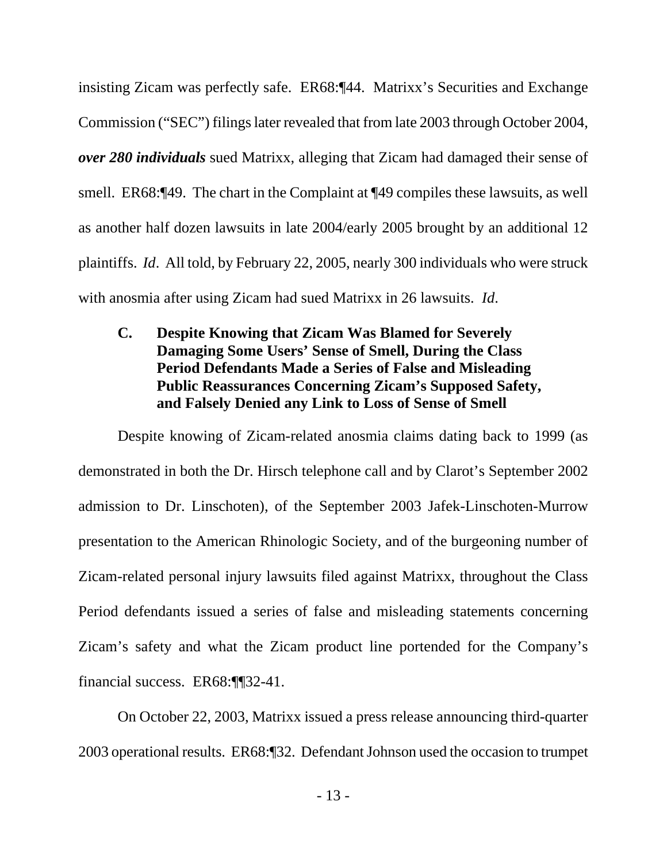insisting Zicam was perfectly safe. ER68:¶44. Matrixx's Securities and Exchange Commission ("SEC") filings later revealed that from late 2003 through October 2004, *over 280 individuals* sued Matrixx, alleging that Zicam had damaged their sense of smell. ER68:¶49. The chart in the Complaint at ¶49 compiles these lawsuits, as well as another half dozen lawsuits in late 2004/early 2005 brought by an additional 12 plaintiffs. *Id*. All told, by February 22, 2005, nearly 300 individuals who were struck with anosmia after using Zicam had sued Matrixx in 26 lawsuits. *Id*.

## **C. Despite Knowing that Zicam Was Blamed for Severely Damaging Some Users' Sense of Smell, During the Class Period Defendants Made a Series of False and Misleading Public Reassurances Concerning Zicam's Supposed Safety, and Falsely Denied any Link to Loss of Sense of Smell**

Despite knowing of Zicam-related anosmia claims dating back to 1999 (as demonstrated in both the Dr. Hirsch telephone call and by Clarot's September 2002 admission to Dr. Linschoten), of the September 2003 Jafek-Linschoten-Murrow presentation to the American Rhinologic Society, and of the burgeoning number of Zicam-related personal injury lawsuits filed against Matrixx, throughout the Class Period defendants issued a series of false and misleading statements concerning Zicam's safety and what the Zicam product line portended for the Company's financial success. ER68:¶¶32-41.

On October 22, 2003, Matrixx issued a press release announcing third-quarter 2003 operational results. ER68:¶32. Defendant Johnson used the occasion to trumpet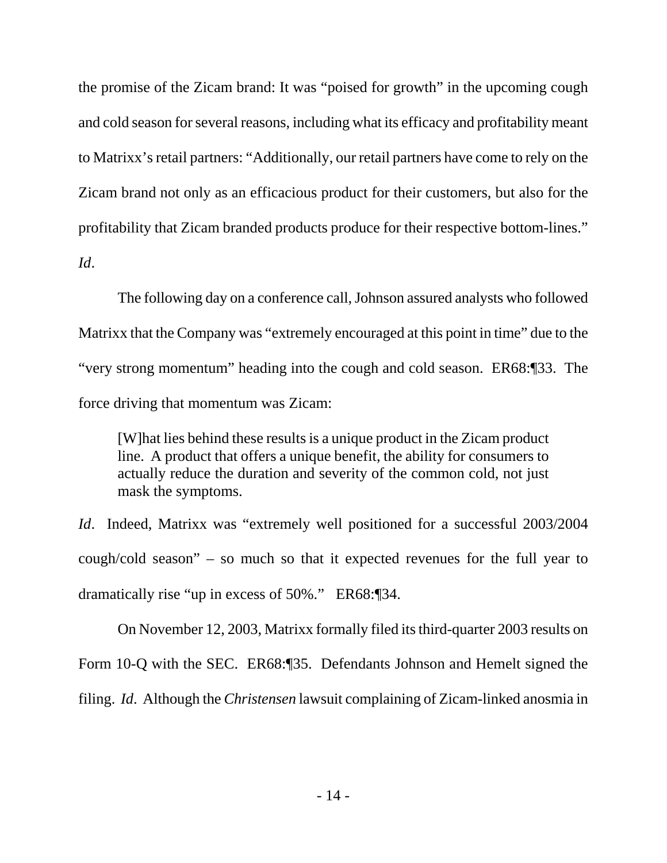the promise of the Zicam brand: It was "poised for growth" in the upcoming cough and cold season for several reasons, including what its efficacy and profitability meant to Matrixx's retail partners: "Additionally, our retail partners have come to rely on the Zicam brand not only as an efficacious product for their customers, but also for the profitability that Zicam branded products produce for their respective bottom-lines." *Id*.

The following day on a conference call, Johnson assured analysts who followed Matrixx that the Company was "extremely encouraged at this point in time" due to the "very strong momentum" heading into the cough and cold season. ER68:¶33. The force driving that momentum was Zicam:

[W]hat lies behind these results is a unique product in the Zicam product line. A product that offers a unique benefit, the ability for consumers to actually reduce the duration and severity of the common cold, not just mask the symptoms.

*Id*. Indeed, Matrixx was "extremely well positioned for a successful 2003/2004 cough/cold season" – so much so that it expected revenues for the full year to dramatically rise "up in excess of 50%." ER68:¶34.

On November 12, 2003, Matrixx formally filed its third-quarter 2003 results on Form 10-Q with the SEC. ER68:¶35. Defendants Johnson and Hemelt signed the filing. *Id*. Although the *Christensen* lawsuit complaining of Zicam-linked anosmia in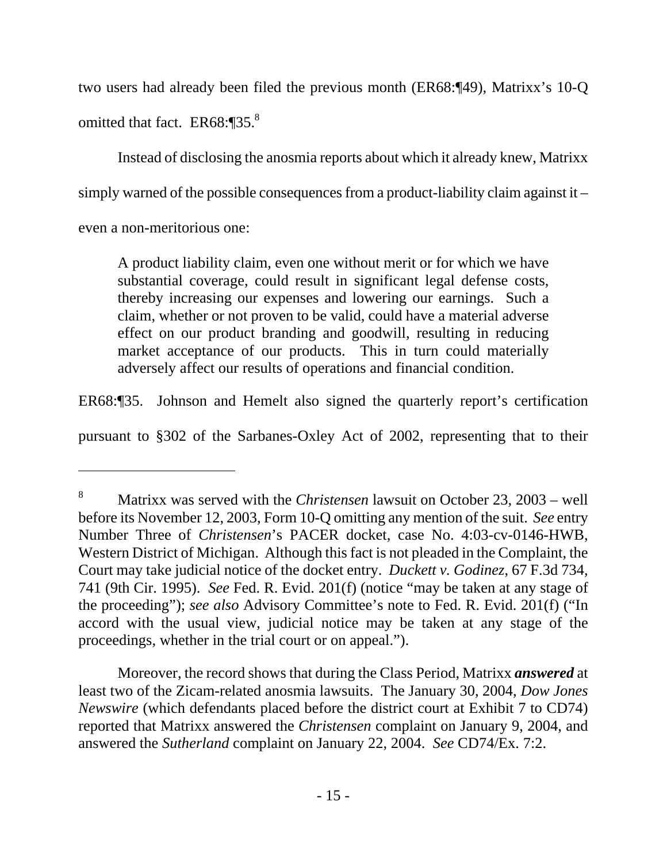two users had already been filed the previous month (ER68:¶49), Matrixx's 10-Q omitted that fact. ER68:¶35.<sup>8</sup>

Instead of disclosing the anosmia reports about which it already knew, Matrixx simply warned of the possible consequences from a product-liability claim against it – even a non-meritorious one:

A product liability claim, even one without merit or for which we have substantial coverage, could result in significant legal defense costs, thereby increasing our expenses and lowering our earnings. Such a claim, whether or not proven to be valid, could have a material adverse effect on our product branding and goodwill, resulting in reducing market acceptance of our products. This in turn could materially adversely affect our results of operations and financial condition.

ER68:¶35. Johnson and Hemelt also signed the quarterly report's certification

pursuant to §302 of the Sarbanes-Oxley Act of 2002, representing that to their

 $\overline{a}$ 

 Moreover, the record shows that during the Class Period, Matrixx *answered* at least two of the Zicam-related anosmia lawsuits. The January 30, 2004, *Dow Jones Newswire* (which defendants placed before the district court at Exhibit 7 to CD74) reported that Matrixx answered the *Christensen* complaint on January 9, 2004, and answered the *Sutherland* complaint on January 22, 2004. *See* CD74/Ex. 7:2.

<sup>8</sup> Matrixx was served with the *Christensen* lawsuit on October 23, 2003 – well before its November 12, 2003, Form 10-Q omitting any mention of the suit. *See* entry Number Three of *Christensen*'s PACER docket, case No. 4:03-cv-0146-HWB, Western District of Michigan. Although this fact is not pleaded in the Complaint, the Court may take judicial notice of the docket entry. *Duckett v. Godinez*, 67 F.3d 734, 741 (9th Cir. 1995). *See* Fed. R. Evid. 201(f) (notice "may be taken at any stage of the proceeding"); *see also* Advisory Committee's note to Fed. R. Evid. 201(f) ("In accord with the usual view, judicial notice may be taken at any stage of the proceedings, whether in the trial court or on appeal.").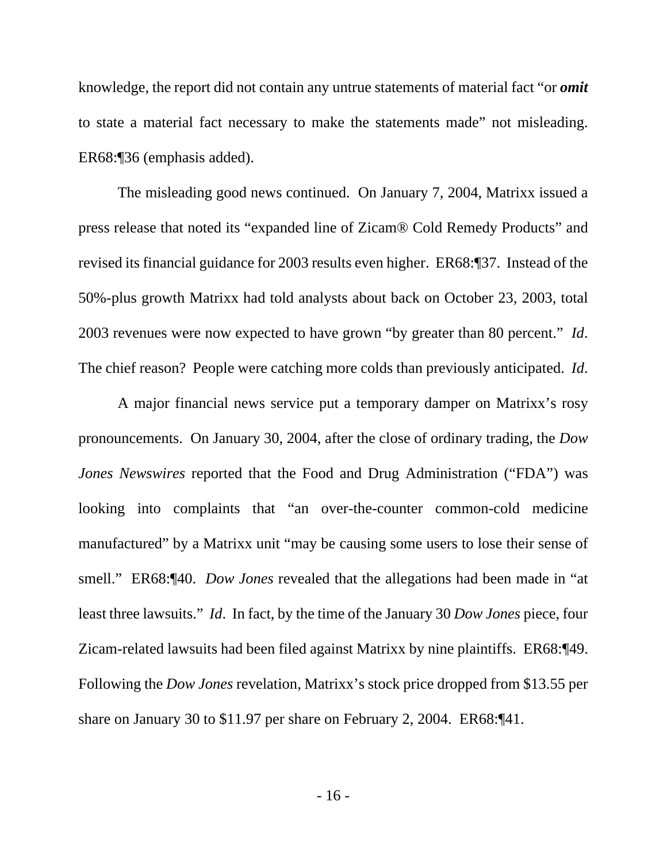knowledge, the report did not contain any untrue statements of material fact "or *omit* to state a material fact necessary to make the statements made" not misleading. ER68:¶36 (emphasis added).

The misleading good news continued. On January 7, 2004, Matrixx issued a press release that noted its "expanded line of Zicam® Cold Remedy Products" and revised its financial guidance for 2003 results even higher. ER68:¶37. Instead of the 50%-plus growth Matrixx had told analysts about back on October 23, 2003, total 2003 revenues were now expected to have grown "by greater than 80 percent." *Id*. The chief reason? People were catching more colds than previously anticipated. *Id*.

A major financial news service put a temporary damper on Matrixx's rosy pronouncements. On January 30, 2004, after the close of ordinary trading, the *Dow Jones Newswires* reported that the Food and Drug Administration ("FDA") was looking into complaints that "an over-the-counter common-cold medicine manufactured" by a Matrixx unit "may be causing some users to lose their sense of smell." ER68:¶40. *Dow Jones* revealed that the allegations had been made in "at least three lawsuits." *Id*. In fact, by the time of the January 30 *Dow Jones* piece, four Zicam-related lawsuits had been filed against Matrixx by nine plaintiffs. ER68:¶49. Following the *Dow Jones* revelation, Matrixx's stock price dropped from \$13.55 per share on January 30 to \$11.97 per share on February 2, 2004. ER68:¶41.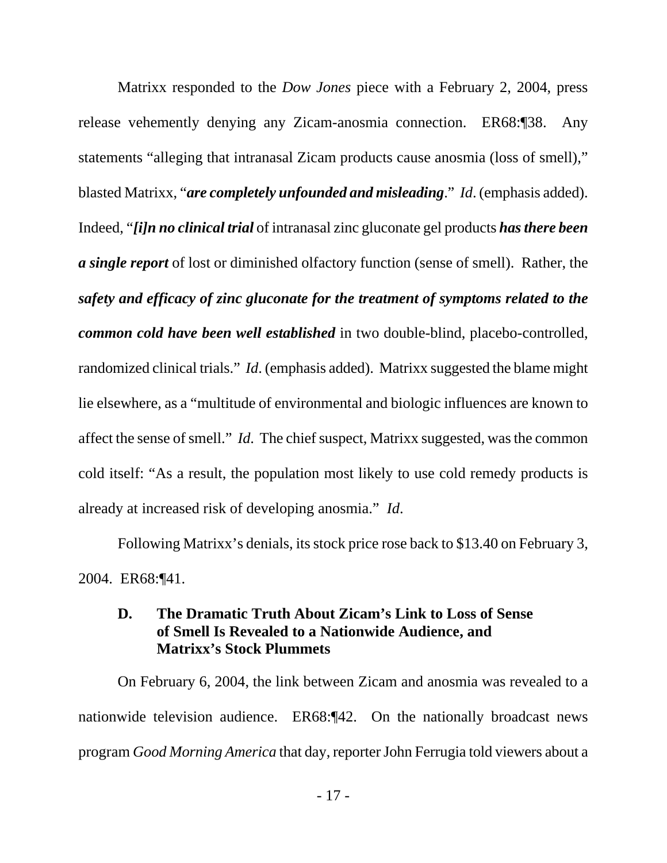Matrixx responded to the *Dow Jones* piece with a February 2, 2004, press release vehemently denying any Zicam-anosmia connection. ER68:¶38. Any statements "alleging that intranasal Zicam products cause anosmia (loss of smell)," blasted Matrixx, "*are completely unfounded and misleading*." *Id*. (emphasis added). Indeed, "*[i]n no clinical trial* of intranasal zinc gluconate gel products *has there been a single report* of lost or diminished olfactory function (sense of smell). Rather, the *safety and efficacy of zinc gluconate for the treatment of symptoms related to the common cold have been well established* in two double-blind, placebo-controlled, randomized clinical trials." *Id*. (emphasis added). Matrixx suggested the blame might lie elsewhere, as a "multitude of environmental and biologic influences are known to affect the sense of smell." *Id*. The chief suspect, Matrixx suggested, was the common cold itself: "As a result, the population most likely to use cold remedy products is already at increased risk of developing anosmia." *Id*.

Following Matrixx's denials, its stock price rose back to \$13.40 on February 3, 2004. ER68:¶41.

### **D. The Dramatic Truth About Zicam's Link to Loss of Sense of Smell Is Revealed to a Nationwide Audience, and Matrixx's Stock Plummets**

On February 6, 2004, the link between Zicam and anosmia was revealed to a nationwide television audience. ER68:¶42. On the nationally broadcast news program *Good Morning America* that day, reporter John Ferrugia told viewers about a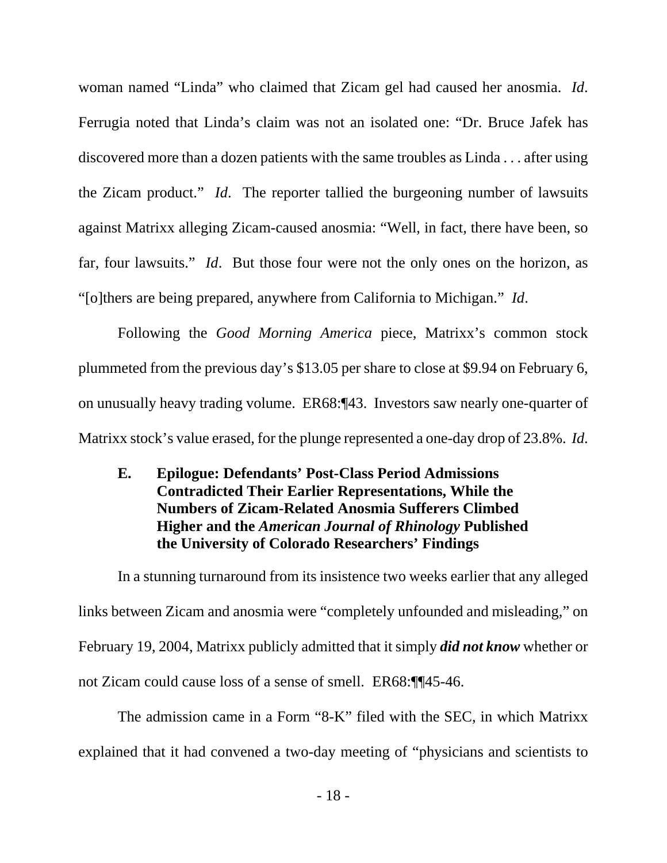woman named "Linda" who claimed that Zicam gel had caused her anosmia. *Id*. Ferrugia noted that Linda's claim was not an isolated one: "Dr. Bruce Jafek has discovered more than a dozen patients with the same troubles as Linda . . . after using the Zicam product." *Id*. The reporter tallied the burgeoning number of lawsuits against Matrixx alleging Zicam-caused anosmia: "Well, in fact, there have been, so far, four lawsuits." *Id*. But those four were not the only ones on the horizon, as "[o]thers are being prepared, anywhere from California to Michigan." *Id*.

Following the *Good Morning America* piece, Matrixx's common stock plummeted from the previous day's \$13.05 per share to close at \$9.94 on February 6, on unusually heavy trading volume. ER68:¶43. Investors saw nearly one-quarter of Matrixx stock's value erased, for the plunge represented a one-day drop of 23.8%. *Id*.

## **E. Epilogue: Defendants' Post-Class Period Admissions Contradicted Their Earlier Representations, While the Numbers of Zicam-Related Anosmia Sufferers Climbed Higher and the** *American Journal of Rhinology* **Published the University of Colorado Researchers' Findings**

In a stunning turnaround from its insistence two weeks earlier that any alleged links between Zicam and anosmia were "completely unfounded and misleading," on February 19, 2004, Matrixx publicly admitted that it simply *did not know* whether or not Zicam could cause loss of a sense of smell. ER68:¶¶45-46.

The admission came in a Form "8-K" filed with the SEC, in which Matrixx explained that it had convened a two-day meeting of "physicians and scientists to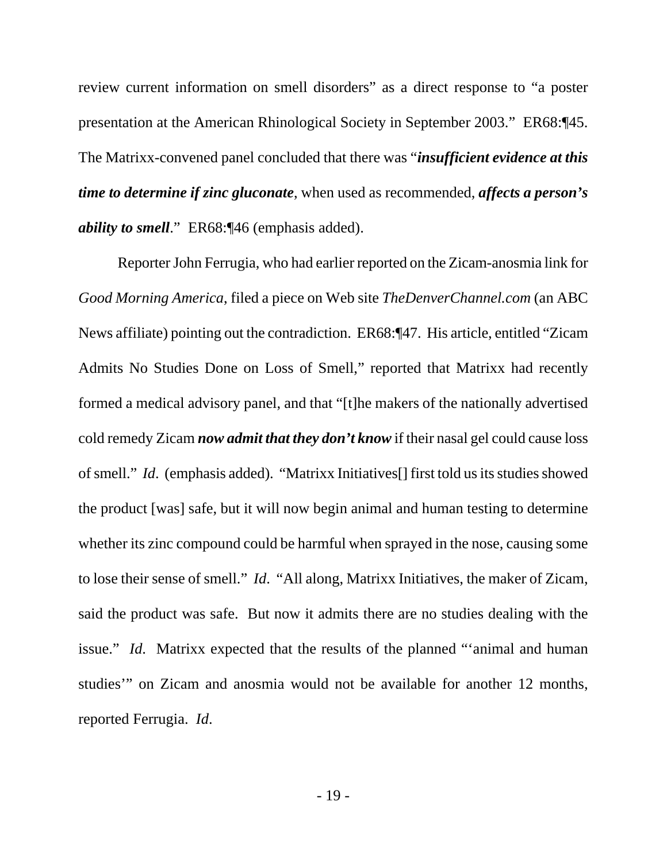review current information on smell disorders" as a direct response to "a poster presentation at the American Rhinological Society in September 2003." ER68:¶45. The Matrixx-convened panel concluded that there was "*insufficient evidence at this time to determine if zinc gluconate*, when used as recommended, *affects a person's ability to smell*." ER68:¶46 (emphasis added).

Reporter John Ferrugia, who had earlier reported on the Zicam-anosmia link for *Good Morning America*, filed a piece on Web site *TheDenverChannel.com* (an ABC News affiliate) pointing out the contradiction. ER68:¶47. His article, entitled "Zicam Admits No Studies Done on Loss of Smell," reported that Matrixx had recently formed a medical advisory panel, and that "[t]he makers of the nationally advertised cold remedy Zicam *now admit that they don't know* if their nasal gel could cause loss of smell." *Id*. (emphasis added). "Matrixx Initiatives[] first told us its studies showed the product [was] safe, but it will now begin animal and human testing to determine whether its zinc compound could be harmful when sprayed in the nose, causing some to lose their sense of smell." *Id*. "All along, Matrixx Initiatives, the maker of Zicam, said the product was safe. But now it admits there are no studies dealing with the issue." *Id*. Matrixx expected that the results of the planned "'animal and human studies'" on Zicam and anosmia would not be available for another 12 months, reported Ferrugia. *Id*.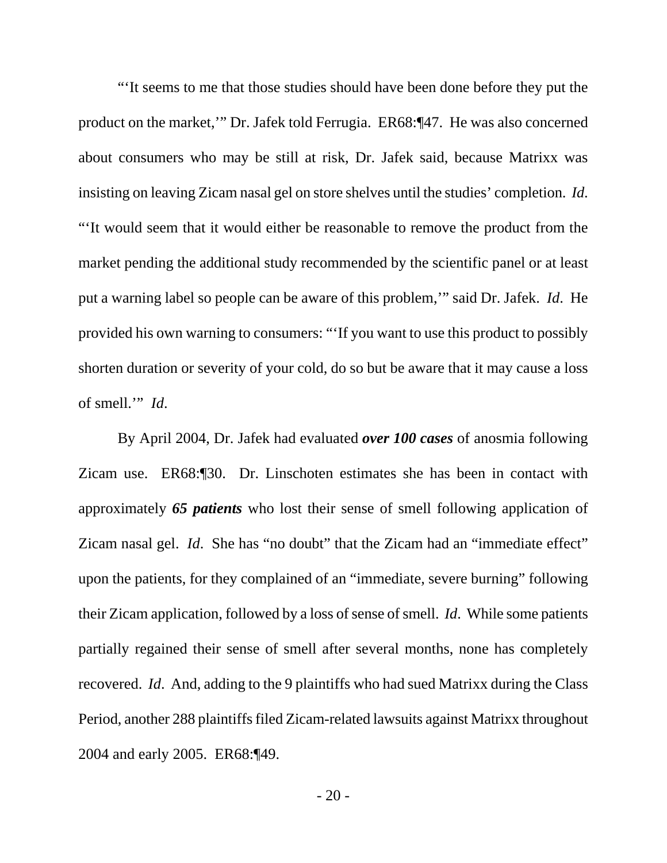"'It seems to me that those studies should have been done before they put the product on the market,'" Dr. Jafek told Ferrugia. ER68:¶47. He was also concerned about consumers who may be still at risk, Dr. Jafek said, because Matrixx was insisting on leaving Zicam nasal gel on store shelves until the studies' completion. *Id*. "'It would seem that it would either be reasonable to remove the product from the market pending the additional study recommended by the scientific panel or at least put a warning label so people can be aware of this problem,'" said Dr. Jafek. *Id*. He provided his own warning to consumers: "'If you want to use this product to possibly shorten duration or severity of your cold, do so but be aware that it may cause a loss of smell.'" *Id*.

By April 2004, Dr. Jafek had evaluated *over 100 cases* of anosmia following Zicam use. ER68:¶30. Dr. Linschoten estimates she has been in contact with approximately *65 patients* who lost their sense of smell following application of Zicam nasal gel. *Id*. She has "no doubt" that the Zicam had an "immediate effect" upon the patients, for they complained of an "immediate, severe burning" following their Zicam application, followed by a loss of sense of smell. *Id*. While some patients partially regained their sense of smell after several months, none has completely recovered. *Id*. And, adding to the 9 plaintiffs who had sued Matrixx during the Class Period, another 288 plaintiffs filed Zicam-related lawsuits against Matrixx throughout 2004 and early 2005. ER68:¶49.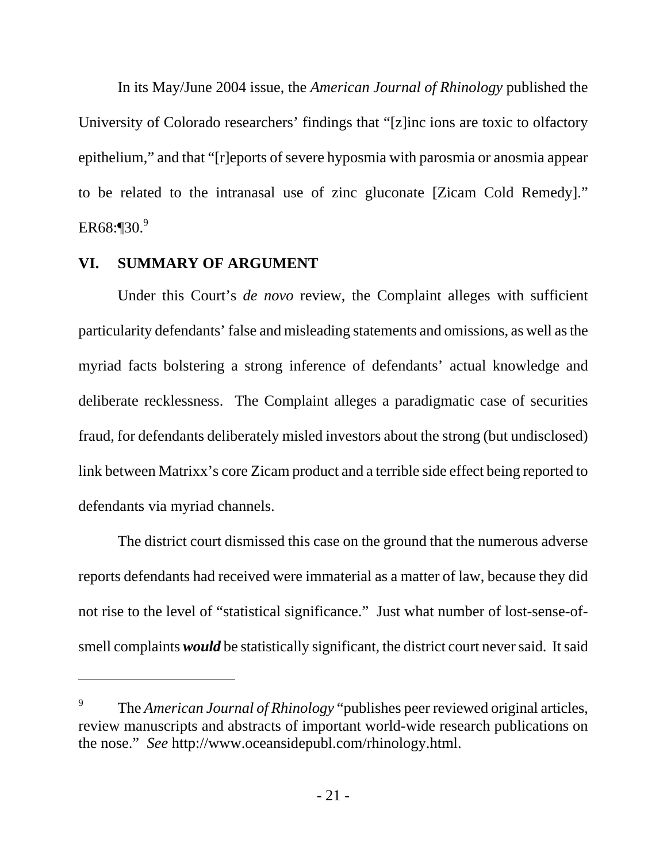In its May/June 2004 issue, the *American Journal of Rhinology* published the University of Colorado researchers' findings that "[z]inc ions are toxic to olfactory epithelium," and that "[r]eports of severe hyposmia with parosmia or anosmia appear to be related to the intranasal use of zinc gluconate [Zicam Cold Remedy]."  $ER68:$  [30.<sup>9</sup>]

### **VI. SUMMARY OF ARGUMENT**

-

Under this Court's *de novo* review, the Complaint alleges with sufficient particularity defendants' false and misleading statements and omissions, as well as the myriad facts bolstering a strong inference of defendants' actual knowledge and deliberate recklessness. The Complaint alleges a paradigmatic case of securities fraud, for defendants deliberately misled investors about the strong (but undisclosed) link between Matrixx's core Zicam product and a terrible side effect being reported to defendants via myriad channels.

The district court dismissed this case on the ground that the numerous adverse reports defendants had received were immaterial as a matter of law, because they did not rise to the level of "statistical significance." Just what number of lost-sense-ofsmell complaints *would* be statistically significant, the district court never said. It said

<sup>9</sup> The *American Journal of Rhinology* "publishes peer reviewed original articles, review manuscripts and abstracts of important world-wide research publications on the nose." *See* http://www.oceansidepubl.com/rhinology.html.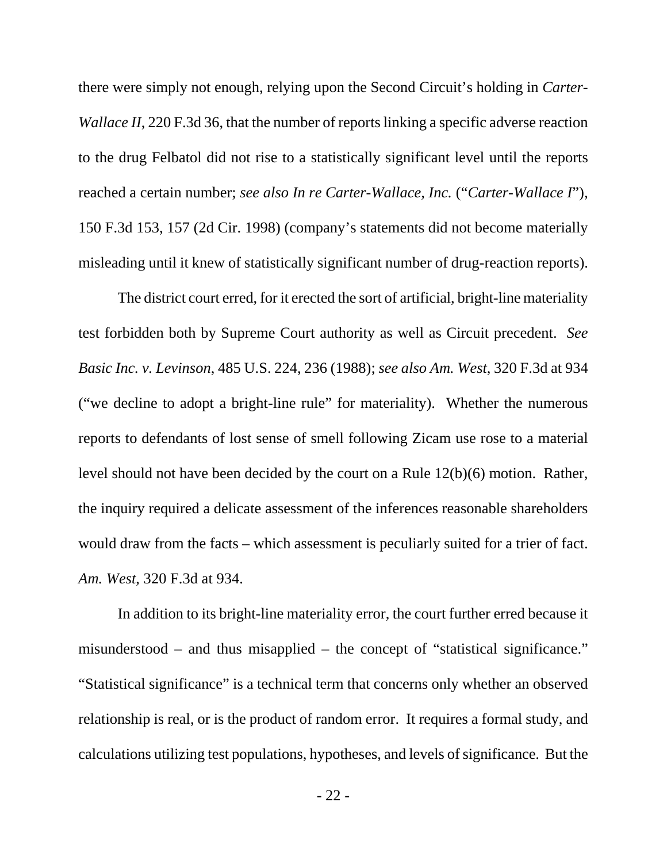there were simply not enough, relying upon the Second Circuit's holding in *Carter-Wallace II*, 220 F.3d 36, that the number of reports linking a specific adverse reaction to the drug Felbatol did not rise to a statistically significant level until the reports reached a certain number; *see also In re Carter-Wallace, Inc.* ("*Carter-Wallace I*"), 150 F.3d 153, 157 (2d Cir. 1998) (company's statements did not become materially misleading until it knew of statistically significant number of drug-reaction reports).

The district court erred, for it erected the sort of artificial, bright-line materiality test forbidden both by Supreme Court authority as well as Circuit precedent. *See Basic Inc. v. Levinson*, 485 U.S. 224, 236 (1988); *see also Am. West*, 320 F.3d at 934 ("we decline to adopt a bright-line rule" for materiality). Whether the numerous reports to defendants of lost sense of smell following Zicam use rose to a material level should not have been decided by the court on a Rule 12(b)(6) motion. Rather, the inquiry required a delicate assessment of the inferences reasonable shareholders would draw from the facts – which assessment is peculiarly suited for a trier of fact. *Am. West*, 320 F.3d at 934.

In addition to its bright-line materiality error, the court further erred because it misunderstood – and thus misapplied – the concept of "statistical significance." "Statistical significance" is a technical term that concerns only whether an observed relationship is real, or is the product of random error. It requires a formal study, and calculations utilizing test populations, hypotheses, and levels of significance. But the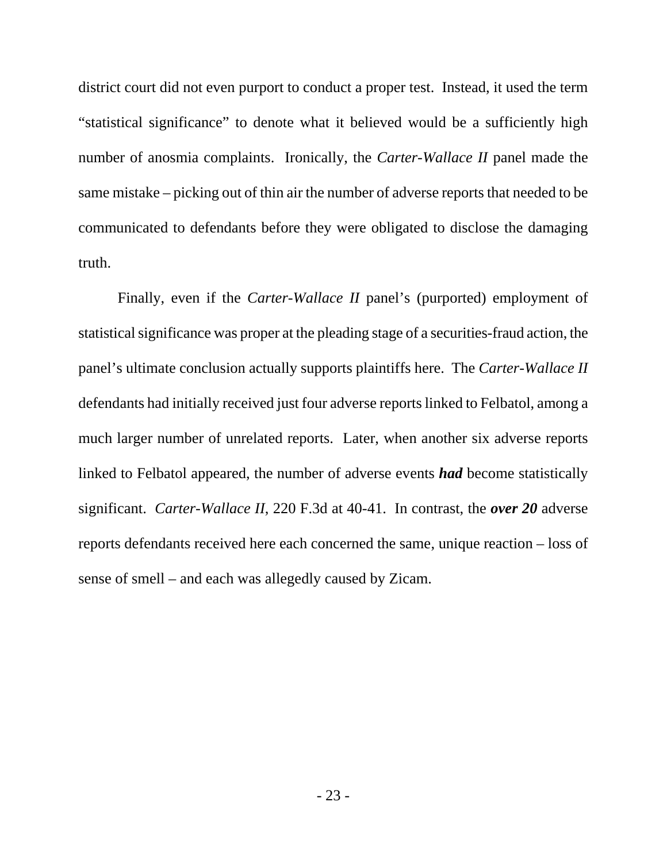district court did not even purport to conduct a proper test. Instead, it used the term "statistical significance" to denote what it believed would be a sufficiently high number of anosmia complaints. Ironically, the *Carter-Wallace II* panel made the same mistake – picking out of thin air the number of adverse reports that needed to be communicated to defendants before they were obligated to disclose the damaging truth.

Finally, even if the *Carter-Wallace II* panel's (purported) employment of statistical significance was proper at the pleading stage of a securities-fraud action, the panel's ultimate conclusion actually supports plaintiffs here. The *Carter-Wallace II* defendants had initially received just four adverse reports linked to Felbatol, among a much larger number of unrelated reports. Later, when another six adverse reports linked to Felbatol appeared, the number of adverse events *had* become statistically significant. *Carter-Wallace II*, 220 F.3d at 40-41. In contrast, the *over 20* adverse reports defendants received here each concerned the same, unique reaction – loss of sense of smell – and each was allegedly caused by Zicam.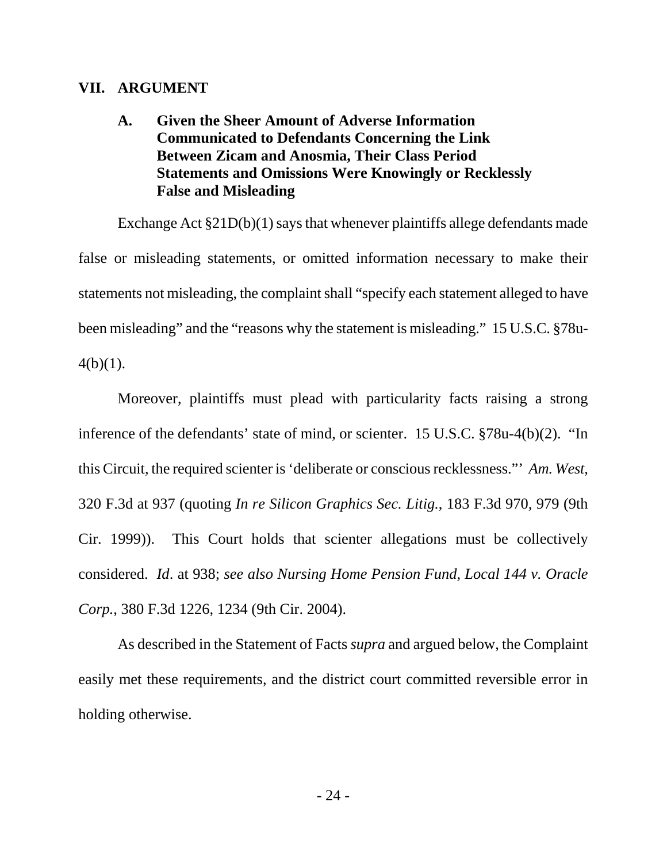#### **VII. ARGUMENT**

## **A. Given the Sheer Amount of Adverse Information Communicated to Defendants Concerning the Link Between Zicam and Anosmia, Their Class Period Statements and Omissions Were Knowingly or Recklessly False and Misleading**

Exchange Act §21D(b)(1) says that whenever plaintiffs allege defendants made false or misleading statements, or omitted information necessary to make their statements not misleading, the complaint shall "specify each statement alleged to have been misleading" and the "reasons why the statement is misleading." 15 U.S.C. §78u- $4(b)(1)$ .

Moreover, plaintiffs must plead with particularity facts raising a strong inference of the defendants' state of mind, or scienter. 15 U.S.C. §78u-4(b)(2). "In this Circuit, the required scienter is 'deliberate or conscious recklessness."' *Am. West*, 320 F.3d at 937 (quoting *In re Silicon Graphics Sec. Litig.*, 183 F.3d 970, 979 (9th Cir. 1999)). This Court holds that scienter allegations must be collectively considered. *Id*. at 938; *see also Nursing Home Pension Fund, Local 144 v. Oracle Corp.*, 380 F.3d 1226, 1234 (9th Cir. 2004).

As described in the Statement of Facts *supra* and argued below, the Complaint easily met these requirements, and the district court committed reversible error in holding otherwise.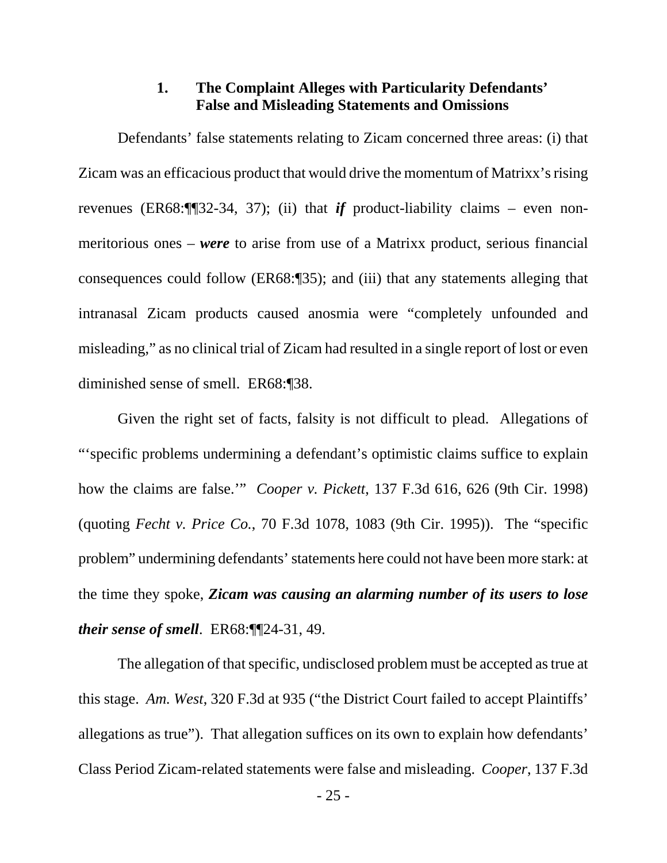### **1. The Complaint Alleges with Particularity Defendants' False and Misleading Statements and Omissions**

Defendants' false statements relating to Zicam concerned three areas: (i) that Zicam was an efficacious product that would drive the momentum of Matrixx's rising revenues (ER68:¶¶32-34, 37); (ii) that *if* product-liability claims – even nonmeritorious ones – *were* to arise from use of a Matrixx product, serious financial consequences could follow (ER68:¶35); and (iii) that any statements alleging that intranasal Zicam products caused anosmia were "completely unfounded and misleading," as no clinical trial of Zicam had resulted in a single report of lost or even diminished sense of smell. ER68:¶38.

Given the right set of facts, falsity is not difficult to plead. Allegations of "'specific problems undermining a defendant's optimistic claims suffice to explain how the claims are false.'" *Cooper v. Pickett*, 137 F.3d 616, 626 (9th Cir. 1998) (quoting *Fecht v. Price Co.*, 70 F.3d 1078, 1083 (9th Cir. 1995)). The "specific problem" undermining defendants' statements here could not have been more stark: at the time they spoke, *Zicam was causing an alarming number of its users to lose their sense of smell*. ER68:¶¶24-31, 49.

The allegation of that specific, undisclosed problem must be accepted as true at this stage. *Am. West*, 320 F.3d at 935 ("the District Court failed to accept Plaintiffs' allegations as true"). That allegation suffices on its own to explain how defendants' Class Period Zicam-related statements were false and misleading. *Cooper*, 137 F.3d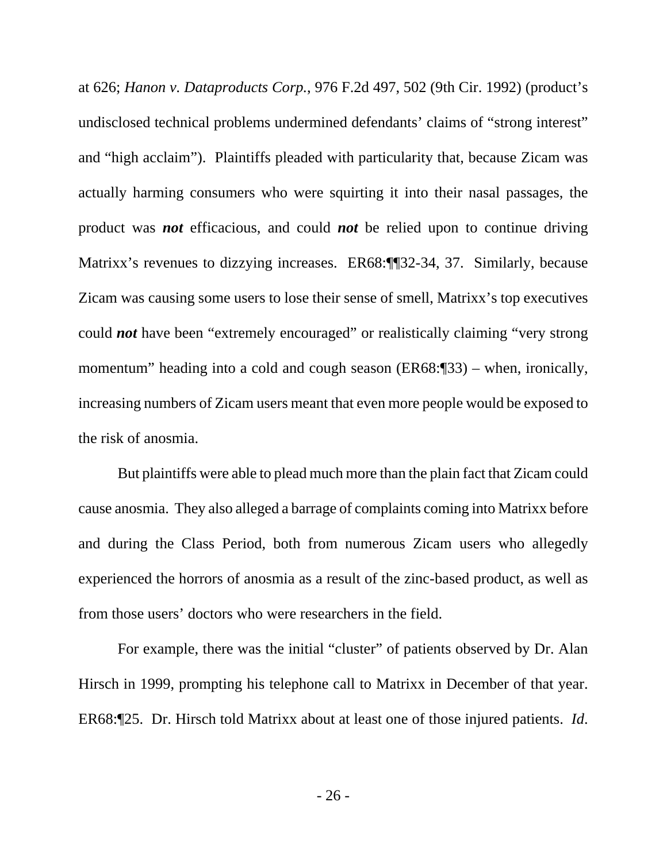at 626; *Hanon v. Dataproducts Corp.*, 976 F.2d 497, 502 (9th Cir. 1992) (product's undisclosed technical problems undermined defendants' claims of "strong interest" and "high acclaim"). Plaintiffs pleaded with particularity that, because Zicam was actually harming consumers who were squirting it into their nasal passages, the product was *not* efficacious, and could *not* be relied upon to continue driving Matrixx's revenues to dizzying increases. ER68:¶¶32-34, 37. Similarly, because Zicam was causing some users to lose their sense of smell, Matrixx's top executives could *not* have been "extremely encouraged" or realistically claiming "very strong momentum" heading into a cold and cough season (ER68:¶33) – when, ironically, increasing numbers of Zicam users meant that even more people would be exposed to the risk of anosmia.

But plaintiffs were able to plead much more than the plain fact that Zicam could cause anosmia. They also alleged a barrage of complaints coming into Matrixx before and during the Class Period, both from numerous Zicam users who allegedly experienced the horrors of anosmia as a result of the zinc-based product, as well as from those users' doctors who were researchers in the field.

For example, there was the initial "cluster" of patients observed by Dr. Alan Hirsch in 1999, prompting his telephone call to Matrixx in December of that year. ER68:¶25. Dr. Hirsch told Matrixx about at least one of those injured patients. *Id*.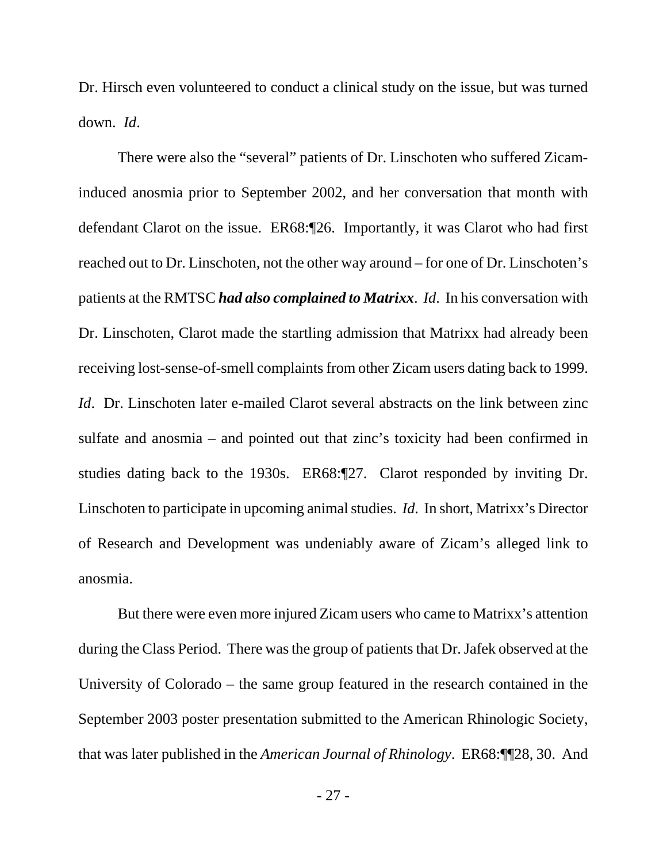Dr. Hirsch even volunteered to conduct a clinical study on the issue, but was turned down. *Id*.

There were also the "several" patients of Dr. Linschoten who suffered Zicaminduced anosmia prior to September 2002, and her conversation that month with defendant Clarot on the issue. ER68:¶26. Importantly, it was Clarot who had first reached out to Dr. Linschoten, not the other way around – for one of Dr. Linschoten's patients at the RMTSC *had also complained to Matrixx*. *Id*. In his conversation with Dr. Linschoten, Clarot made the startling admission that Matrixx had already been receiving lost-sense-of-smell complaints from other Zicam users dating back to 1999. *Id.* Dr. Linschoten later e-mailed Clarot several abstracts on the link between zinc sulfate and anosmia – and pointed out that zinc's toxicity had been confirmed in studies dating back to the 1930s. ER68:¶27. Clarot responded by inviting Dr. Linschoten to participate in upcoming animal studies. *Id*. In short, Matrixx's Director of Research and Development was undeniably aware of Zicam's alleged link to anosmia.

But there were even more injured Zicam users who came to Matrixx's attention during the Class Period. There was the group of patients that Dr. Jafek observed at the University of Colorado – the same group featured in the research contained in the September 2003 poster presentation submitted to the American Rhinologic Society, that was later published in the *American Journal of Rhinology*. ER68:¶¶28, 30. And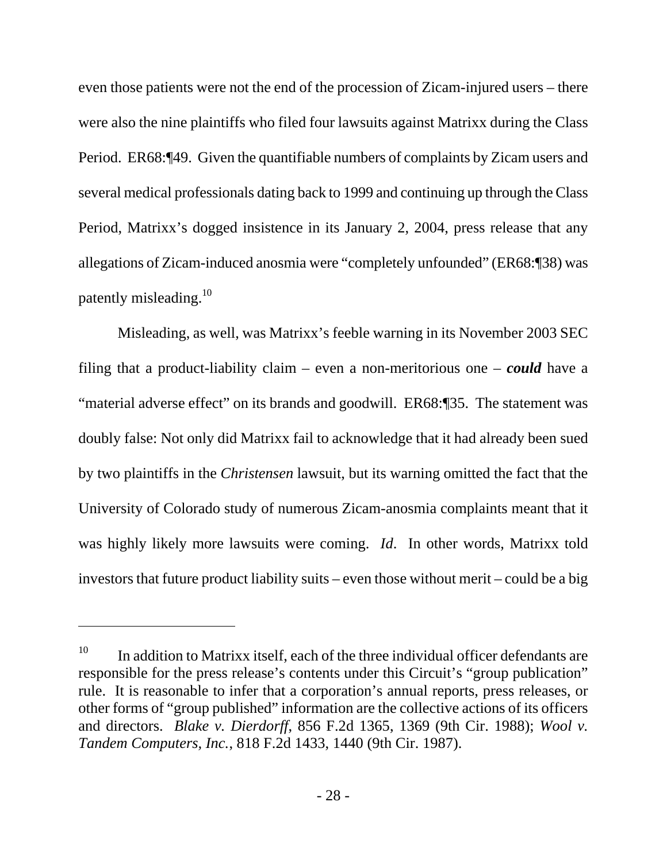even those patients were not the end of the procession of Zicam-injured users – there were also the nine plaintiffs who filed four lawsuits against Matrixx during the Class Period. ER68:¶49. Given the quantifiable numbers of complaints by Zicam users and several medical professionals dating back to 1999 and continuing up through the Class Period, Matrixx's dogged insistence in its January 2, 2004, press release that any allegations of Zicam-induced anosmia were "completely unfounded" (ER68:¶38) was patently misleading.<sup>10</sup>

Misleading, as well, was Matrixx's feeble warning in its November 2003 SEC filing that a product-liability claim – even a non-meritorious one – *could* have a "material adverse effect" on its brands and goodwill. ER68:¶35. The statement was doubly false: Not only did Matrixx fail to acknowledge that it had already been sued by two plaintiffs in the *Christensen* lawsuit, but its warning omitted the fact that the University of Colorado study of numerous Zicam-anosmia complaints meant that it was highly likely more lawsuits were coming. *Id*. In other words, Matrixx told investors that future product liability suits – even those without merit – could be a big

 $\overline{a}$ 

 $10$  In addition to Matrixx itself, each of the three individual officer defendants are responsible for the press release's contents under this Circuit's "group publication" rule. It is reasonable to infer that a corporation's annual reports, press releases, or other forms of "group published" information are the collective actions of its officers and directors. *Blake v. Dierdorff*, 856 F.2d 1365, 1369 (9th Cir. 1988); *Wool v. Tandem Computers, Inc.*, 818 F.2d 1433, 1440 (9th Cir. 1987).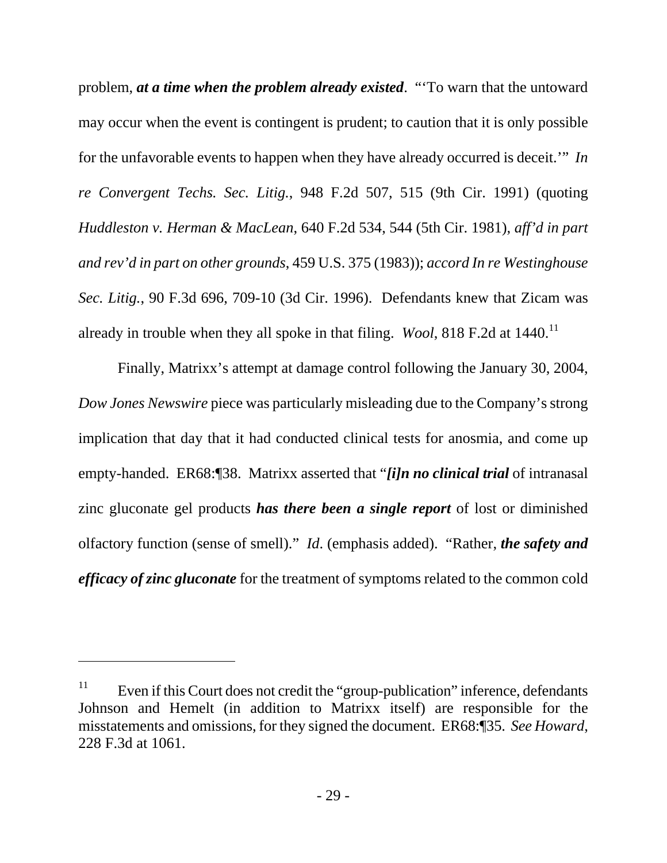problem, *at a time when the problem already existed*. "'To warn that the untoward may occur when the event is contingent is prudent; to caution that it is only possible for the unfavorable events to happen when they have already occurred is deceit.'" *In re Convergent Techs. Sec. Litig.*, 948 F.2d 507, 515 (9th Cir. 1991) (quoting *Huddleston v. Herman & MacLean*, 640 F.2d 534, 544 (5th Cir. 1981), *aff'd in part and rev'd in part on other grounds*, 459 U.S. 375 (1983)); *accord In re Westinghouse Sec. Litig.*, 90 F.3d 696, 709-10 (3d Cir. 1996). Defendants knew that Zicam was already in trouble when they all spoke in that filing. *Wool*, 818 F.2d at 1440.<sup>11</sup>

Finally, Matrixx's attempt at damage control following the January 30, 2004, *Dow Jones Newswire* piece was particularly misleading due to the Company's strong implication that day that it had conducted clinical tests for anosmia, and come up empty-handed. ER68:¶38. Matrixx asserted that "*[i]n no clinical trial* of intranasal zinc gluconate gel products *has there been a single report* of lost or diminished olfactory function (sense of smell)." *Id*. (emphasis added). "Rather, *the safety and efficacy of zinc gluconate* for the treatment of symptoms related to the common cold

-

<sup>&</sup>lt;sup>11</sup> Even if this Court does not credit the "group-publication" inference, defendants Johnson and Hemelt (in addition to Matrixx itself) are responsible for the misstatements and omissions, for they signed the document. ER68:¶35. *See Howard*, 228 F.3d at 1061.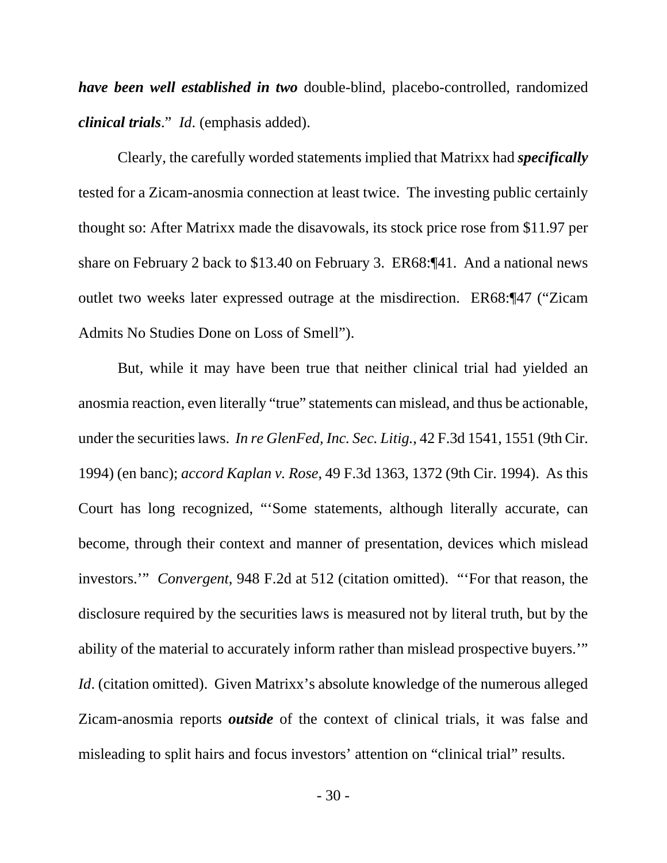*have been well established in two* double-blind, placebo-controlled, randomized *clinical trials*." *Id*. (emphasis added).

Clearly, the carefully worded statements implied that Matrixx had *specifically* tested for a Zicam-anosmia connection at least twice. The investing public certainly thought so: After Matrixx made the disavowals, its stock price rose from \$11.97 per share on February 2 back to \$13.40 on February 3. ER68:¶41. And a national news outlet two weeks later expressed outrage at the misdirection. ER68:¶47 ("Zicam Admits No Studies Done on Loss of Smell").

But, while it may have been true that neither clinical trial had yielded an anosmia reaction, even literally "true" statements can mislead, and thus be actionable, under the securities laws. *In re GlenFed, Inc. Sec. Litig.*, 42 F.3d 1541, 1551 (9th Cir. 1994) (en banc); *accord Kaplan v. Rose*, 49 F.3d 1363, 1372 (9th Cir. 1994). As this Court has long recognized, "'Some statements, although literally accurate, can become, through their context and manner of presentation, devices which mislead investors.'" *Convergent*, 948 F.2d at 512 (citation omitted). "'For that reason, the disclosure required by the securities laws is measured not by literal truth, but by the ability of the material to accurately inform rather than mislead prospective buyers.'" *Id.* (citation omitted). Given Matrixx's absolute knowledge of the numerous alleged Zicam-anosmia reports *outside* of the context of clinical trials, it was false and misleading to split hairs and focus investors' attention on "clinical trial" results.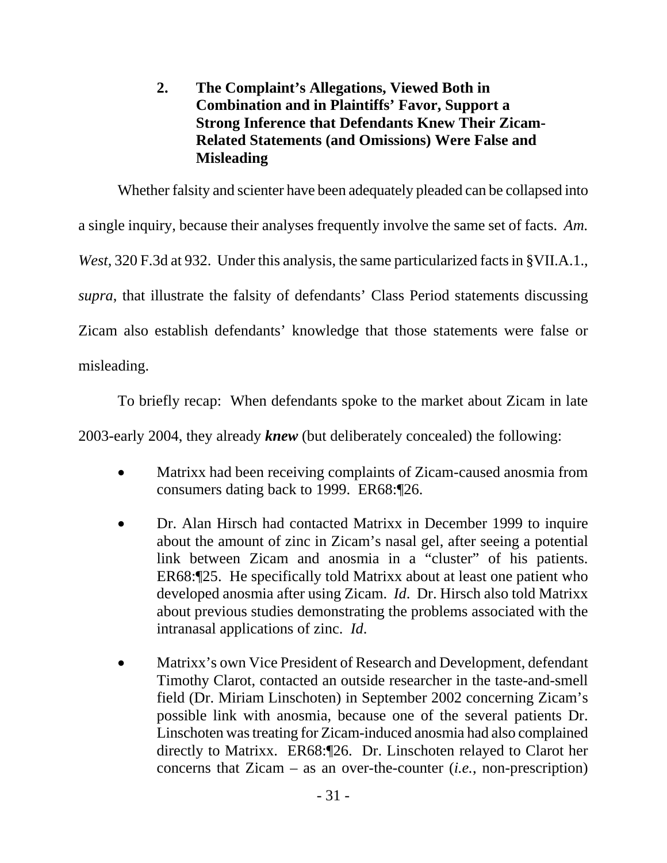## **2. The Complaint's Allegations, Viewed Both in Combination and in Plaintiffs' Favor, Support a Strong Inference that Defendants Knew Their Zicam-Related Statements (and Omissions) Were False and Misleading**

Whether falsity and scienter have been adequately pleaded can be collapsed into a single inquiry, because their analyses frequently involve the same set of facts. *Am. West*, 320 F.3d at 932. Under this analysis, the same particularized facts in §VII.A.1., *supra*, that illustrate the falsity of defendants' Class Period statements discussing Zicam also establish defendants' knowledge that those statements were false or misleading.

To briefly recap: When defendants spoke to the market about Zicam in late 2003-early 2004, they already *knew* (but deliberately concealed) the following:

- Matrixx had been receiving complaints of Zicam-caused anosmia from consumers dating back to 1999. ER68:¶26.
- Dr. Alan Hirsch had contacted Matrixx in December 1999 to inquire about the amount of zinc in Zicam's nasal gel, after seeing a potential link between Zicam and anosmia in a "cluster" of his patients. ER68:¶25. He specifically told Matrixx about at least one patient who developed anosmia after using Zicam. *Id*. Dr. Hirsch also told Matrixx about previous studies demonstrating the problems associated with the intranasal applications of zinc. *Id*.
- Matrixx's own Vice President of Research and Development, defendant Timothy Clarot, contacted an outside researcher in the taste-and-smell field (Dr. Miriam Linschoten) in September 2002 concerning Zicam's possible link with anosmia, because one of the several patients Dr. Linschoten was treating for Zicam-induced anosmia had also complained directly to Matrixx. ER68:¶26. Dr. Linschoten relayed to Clarot her concerns that Zicam – as an over-the-counter (*i.e.*, non-prescription)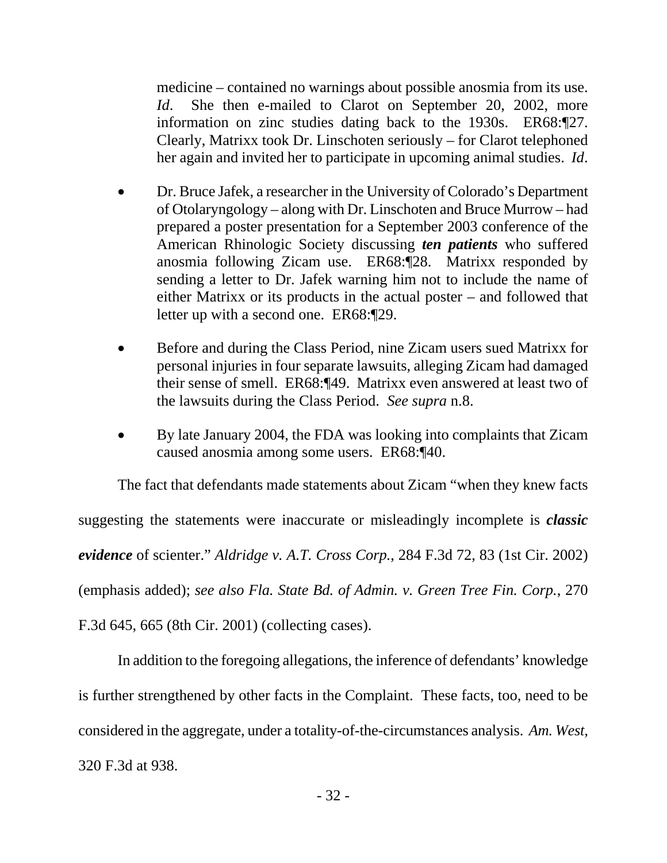medicine – contained no warnings about possible anosmia from its use. *Id*. She then e-mailed to Clarot on September 20, 2002, more information on zinc studies dating back to the 1930s. ER68:¶27. Clearly, Matrixx took Dr. Linschoten seriously – for Clarot telephoned her again and invited her to participate in upcoming animal studies. *Id*.

- Dr. Bruce Jafek, a researcher in the University of Colorado's Department of Otolaryngology – along with Dr. Linschoten and Bruce Murrow – had prepared a poster presentation for a September 2003 conference of the American Rhinologic Society discussing *ten patients* who suffered anosmia following Zicam use. ER68:¶28. Matrixx responded by sending a letter to Dr. Jafek warning him not to include the name of either Matrixx or its products in the actual poster – and followed that letter up with a second one. ER68:¶29.
- Before and during the Class Period, nine Zicam users sued Matrixx for personal injuries in four separate lawsuits, alleging Zicam had damaged their sense of smell. ER68:¶49. Matrixx even answered at least two of the lawsuits during the Class Period. *See supra* n.8.
- By late January 2004, the FDA was looking into complaints that Zicam caused anosmia among some users. ER68:¶40.

The fact that defendants made statements about Zicam "when they knew facts suggesting the statements were inaccurate or misleadingly incomplete is *classic evidence* of scienter." *Aldridge v. A.T. Cross Corp.*, 284 F.3d 72, 83 (1st Cir. 2002) (emphasis added); *see also Fla. State Bd. of Admin. v. Green Tree Fin. Corp.*, 270 F.3d 645, 665 (8th Cir. 2001) (collecting cases).

In addition to the foregoing allegations, the inference of defendants' knowledge is further strengthened by other facts in the Complaint. These facts, too, need to be considered in the aggregate, under a totality-of-the-circumstances analysis. *Am. West*, 320 F.3d at 938.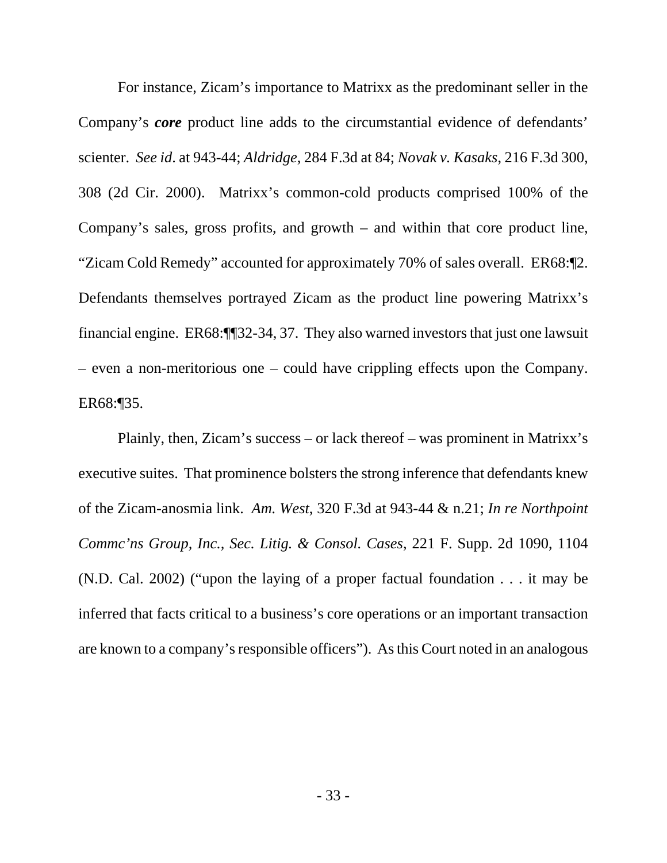For instance, Zicam's importance to Matrixx as the predominant seller in the Company's *core* product line adds to the circumstantial evidence of defendants' scienter. *See id*. at 943-44; *Aldridge*, 284 F.3d at 84; *Novak v. Kasaks*, 216 F.3d 300, 308 (2d Cir. 2000). Matrixx's common-cold products comprised 100% of the Company's sales, gross profits, and growth – and within that core product line, "Zicam Cold Remedy" accounted for approximately 70% of sales overall. ER68:¶2. Defendants themselves portrayed Zicam as the product line powering Matrixx's financial engine. ER68:¶¶32-34, 37. They also warned investors that just one lawsuit – even a non-meritorious one – could have crippling effects upon the Company. ER68:¶35.

Plainly, then, Zicam's success – or lack thereof – was prominent in Matrixx's executive suites. That prominence bolsters the strong inference that defendants knew of the Zicam-anosmia link. *Am. West*, 320 F.3d at 943-44 & n.21; *In re Northpoint Commc'ns Group, Inc., Sec. Litig. & Consol. Cases*, 221 F. Supp. 2d 1090, 1104 (N.D. Cal. 2002) ("upon the laying of a proper factual foundation . . . it may be inferred that facts critical to a business's core operations or an important transaction are known to a company's responsible officers"). As this Court noted in an analogous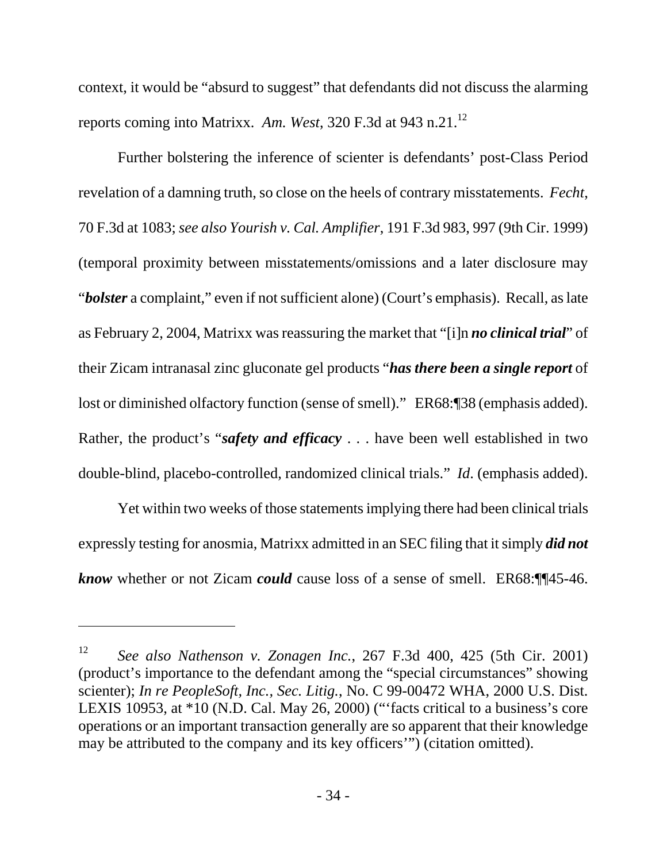context, it would be "absurd to suggest" that defendants did not discuss the alarming reports coming into Matrixx. *Am. West*, 320 F.3d at 943 n.21.12

Further bolstering the inference of scienter is defendants' post-Class Period revelation of a damning truth, so close on the heels of contrary misstatements. *Fecht*, 70 F.3d at 1083; *see also Yourish v. Cal. Amplifier*, 191 F.3d 983, 997 (9th Cir. 1999) (temporal proximity between misstatements/omissions and a later disclosure may "*bolster* a complaint," even if not sufficient alone) (Court's emphasis). Recall, as late as February 2, 2004, Matrixx was reassuring the market that "[i]n *no clinical trial*" of their Zicam intranasal zinc gluconate gel products "*has there been a single report* of lost or diminished olfactory function (sense of smell)." ER68:¶38 (emphasis added). Rather, the product's "*safety and efficacy* . . . have been well established in two double-blind, placebo-controlled, randomized clinical trials." *Id*. (emphasis added).

Yet within two weeks of those statements implying there had been clinical trials expressly testing for anosmia, Matrixx admitted in an SEC filing that it simply *did not know* whether or not Zicam *could* cause loss of a sense of smell. ER68:¶¶45-46.

-

<sup>12</sup> *See also Nathenson v. Zonagen Inc.*, 267 F.3d 400, 425 (5th Cir. 2001) (product's importance to the defendant among the "special circumstances" showing scienter); *In re PeopleSoft, Inc., Sec. Litig.*, No. C 99-00472 WHA, 2000 U.S. Dist. LEXIS 10953, at \*10 (N.D. Cal. May 26, 2000) ("'facts critical to a business's core operations or an important transaction generally are so apparent that their knowledge may be attributed to the company and its key officers'") (citation omitted).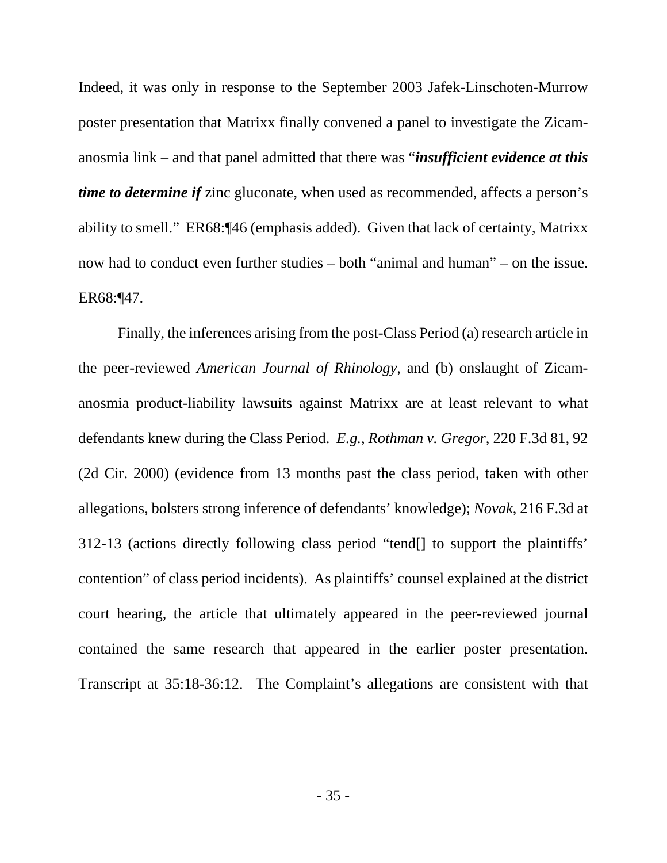Indeed, it was only in response to the September 2003 Jafek-Linschoten-Murrow poster presentation that Matrixx finally convened a panel to investigate the Zicamanosmia link – and that panel admitted that there was "*insufficient evidence at this time to determine if* zinc gluconate, when used as recommended, affects a person's ability to smell." ER68:¶46 (emphasis added). Given that lack of certainty, Matrixx now had to conduct even further studies – both "animal and human" – on the issue. ER68:¶47.

Finally, the inferences arising from the post-Class Period (a) research article in the peer-reviewed *American Journal of Rhinology*, and (b) onslaught of Zicamanosmia product-liability lawsuits against Matrixx are at least relevant to what defendants knew during the Class Period. *E.g.*, *Rothman v. Gregor*, 220 F.3d 81, 92 (2d Cir. 2000) (evidence from 13 months past the class period, taken with other allegations, bolsters strong inference of defendants' knowledge); *Novak*, 216 F.3d at 312-13 (actions directly following class period "tend[] to support the plaintiffs' contention" of class period incidents). As plaintiffs' counsel explained at the district court hearing, the article that ultimately appeared in the peer-reviewed journal contained the same research that appeared in the earlier poster presentation. Transcript at 35:18-36:12. The Complaint's allegations are consistent with that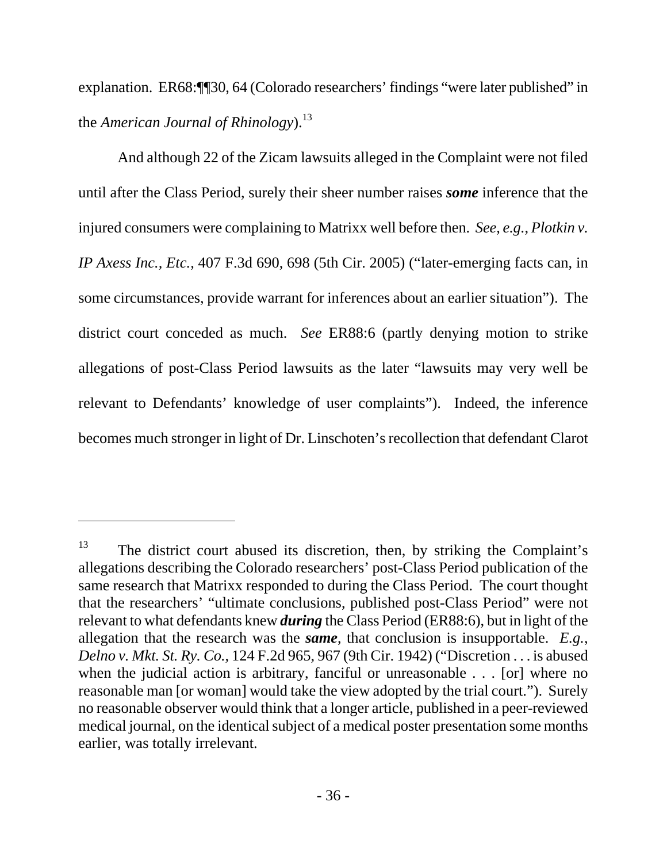explanation. ER68:¶¶30, 64 (Colorado researchers' findings "were later published" in the *American Journal of Rhinology*).<sup>13</sup>

And although 22 of the Zicam lawsuits alleged in the Complaint were not filed until after the Class Period, surely their sheer number raises *some* inference that the injured consumers were complaining to Matrixx well before then. *See, e.g.*, *Plotkin v. IP Axess Inc., Etc.*, 407 F.3d 690, 698 (5th Cir. 2005) ("later-emerging facts can, in some circumstances, provide warrant for inferences about an earlier situation"). The district court conceded as much. *See* ER88:6 (partly denying motion to strike allegations of post-Class Period lawsuits as the later "lawsuits may very well be relevant to Defendants' knowledge of user complaints"). Indeed, the inference becomes much stronger in light of Dr. Linschoten's recollection that defendant Clarot

l

 $13$  The district court abused its discretion, then, by striking the Complaint's allegations describing the Colorado researchers' post-Class Period publication of the same research that Matrixx responded to during the Class Period. The court thought that the researchers' "ultimate conclusions, published post-Class Period" were not relevant to what defendants knew *during* the Class Period (ER88:6), but in light of the allegation that the research was the *same*, that conclusion is insupportable. *E.g.*, *Delno v. Mkt. St. Ry. Co.*, 124 F.2d 965, 967 (9th Cir. 1942) ("Discretion . . . is abused when the judicial action is arbitrary, fanciful or unreasonable . . . [or] where no reasonable man [or woman] would take the view adopted by the trial court."). Surely no reasonable observer would think that a longer article, published in a peer-reviewed medical journal, on the identical subject of a medical poster presentation some months earlier, was totally irrelevant.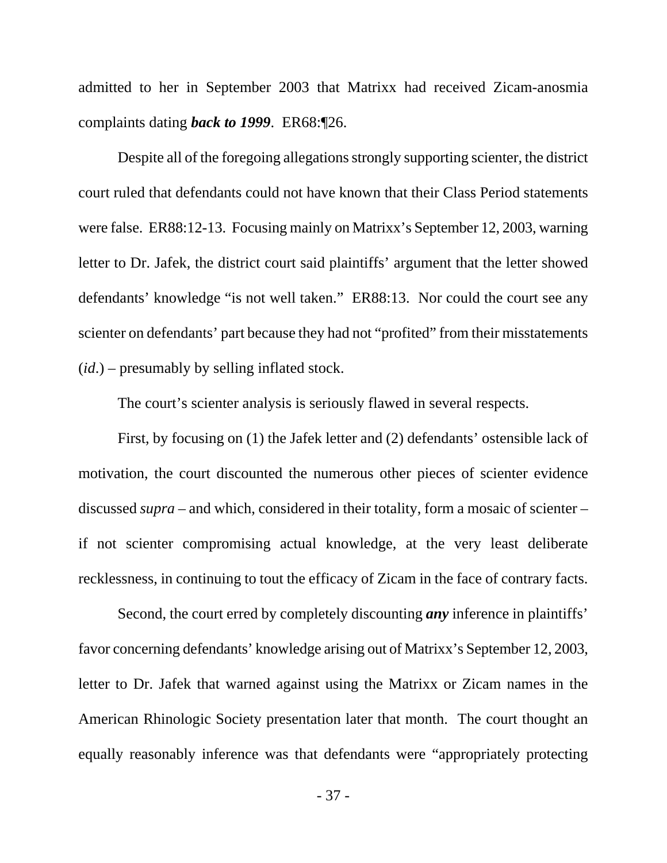admitted to her in September 2003 that Matrixx had received Zicam-anosmia complaints dating *back to 1999*. ER68:¶26.

Despite all of the foregoing allegations strongly supporting scienter, the district court ruled that defendants could not have known that their Class Period statements were false. ER88:12-13. Focusing mainly on Matrixx's September 12, 2003, warning letter to Dr. Jafek, the district court said plaintiffs' argument that the letter showed defendants' knowledge "is not well taken." ER88:13. Nor could the court see any scienter on defendants' part because they had not "profited" from their misstatements (*id*.) – presumably by selling inflated stock.

The court's scienter analysis is seriously flawed in several respects.

First, by focusing on (1) the Jafek letter and (2) defendants' ostensible lack of motivation, the court discounted the numerous other pieces of scienter evidence discussed *supra* – and which, considered in their totality, form a mosaic of scienter – if not scienter compromising actual knowledge, at the very least deliberate recklessness, in continuing to tout the efficacy of Zicam in the face of contrary facts.

Second, the court erred by completely discounting *any* inference in plaintiffs' favor concerning defendants' knowledge arising out of Matrixx's September 12, 2003, letter to Dr. Jafek that warned against using the Matrixx or Zicam names in the American Rhinologic Society presentation later that month. The court thought an equally reasonably inference was that defendants were "appropriately protecting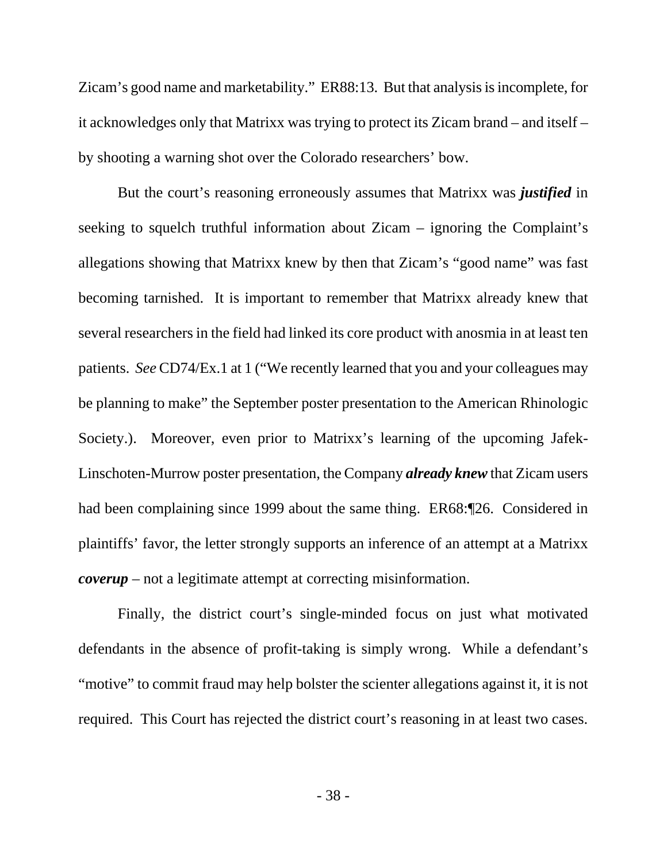Zicam's good name and marketability." ER88:13. But that analysis is incomplete, for it acknowledges only that Matrixx was trying to protect its Zicam brand – and itself – by shooting a warning shot over the Colorado researchers' bow.

But the court's reasoning erroneously assumes that Matrixx was *justified* in seeking to squelch truthful information about Zicam – ignoring the Complaint's allegations showing that Matrixx knew by then that Zicam's "good name" was fast becoming tarnished. It is important to remember that Matrixx already knew that several researchers in the field had linked its core product with anosmia in at least ten patients. *See* CD74/Ex.1 at 1 ("We recently learned that you and your colleagues may be planning to make" the September poster presentation to the American Rhinologic Society.). Moreover, even prior to Matrixx's learning of the upcoming Jafek-Linschoten-Murrow poster presentation, the Company *already knew* that Zicam users had been complaining since 1999 about the same thing. ER68:¶26. Considered in plaintiffs' favor, the letter strongly supports an inference of an attempt at a Matrixx *coverup* – not a legitimate attempt at correcting misinformation.

Finally, the district court's single-minded focus on just what motivated defendants in the absence of profit-taking is simply wrong. While a defendant's "motive" to commit fraud may help bolster the scienter allegations against it, it is not required. This Court has rejected the district court's reasoning in at least two cases.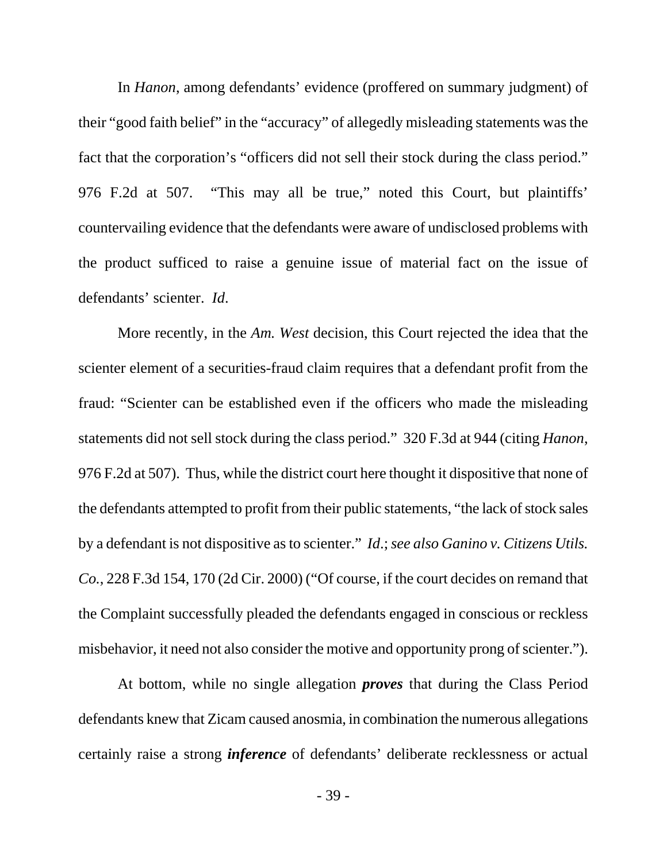In *Hanon*, among defendants' evidence (proffered on summary judgment) of their "good faith belief" in the "accuracy" of allegedly misleading statements was the fact that the corporation's "officers did not sell their stock during the class period." 976 F.2d at 507. "This may all be true," noted this Court, but plaintiffs' countervailing evidence that the defendants were aware of undisclosed problems with the product sufficed to raise a genuine issue of material fact on the issue of defendants' scienter. *Id*.

More recently, in the *Am. West* decision, this Court rejected the idea that the scienter element of a securities-fraud claim requires that a defendant profit from the fraud: "Scienter can be established even if the officers who made the misleading statements did not sell stock during the class period." 320 F.3d at 944 (citing *Hanon*, 976 F.2d at 507). Thus, while the district court here thought it dispositive that none of the defendants attempted to profit from their public statements, "the lack of stock sales by a defendant is not dispositive as to scienter." *Id*.; *see also Ganino v. Citizens Utils. Co.*, 228 F.3d 154, 170 (2d Cir. 2000) ("Of course, if the court decides on remand that the Complaint successfully pleaded the defendants engaged in conscious or reckless misbehavior, it need not also consider the motive and opportunity prong of scienter.").

At bottom, while no single allegation *proves* that during the Class Period defendants knew that Zicam caused anosmia, in combination the numerous allegations certainly raise a strong *inference* of defendants' deliberate recklessness or actual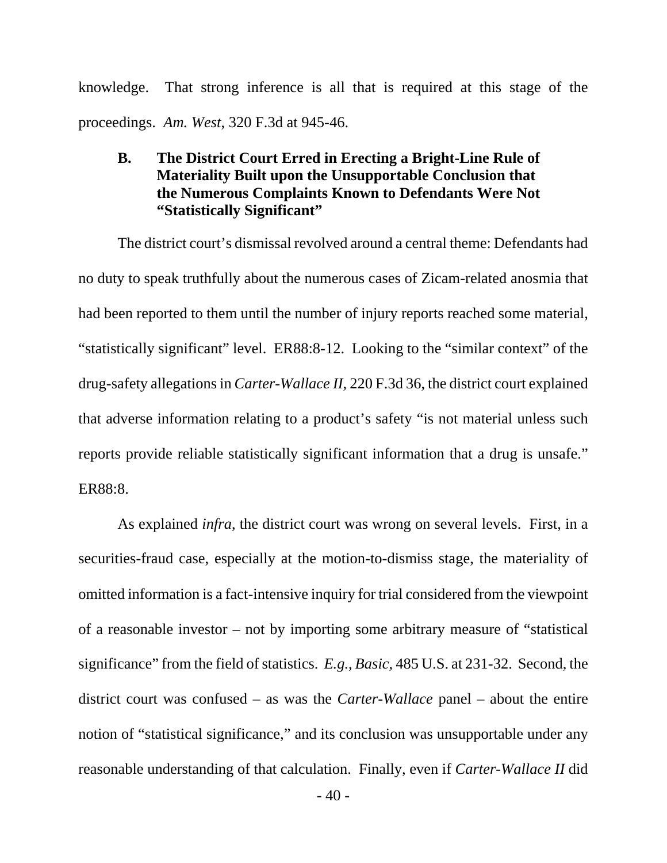knowledge. That strong inference is all that is required at this stage of the proceedings. *Am. West*, 320 F.3d at 945-46.

## **B. The District Court Erred in Erecting a Bright-Line Rule of Materiality Built upon the Unsupportable Conclusion that the Numerous Complaints Known to Defendants Were Not "Statistically Significant"**

The district court's dismissal revolved around a central theme: Defendants had no duty to speak truthfully about the numerous cases of Zicam-related anosmia that had been reported to them until the number of injury reports reached some material, "statistically significant" level. ER88:8-12. Looking to the "similar context" of the drug-safety allegations in *Carter-Wallace II*, 220 F.3d 36, the district court explained that adverse information relating to a product's safety "is not material unless such reports provide reliable statistically significant information that a drug is unsafe." ER88:8.

As explained *infra*, the district court was wrong on several levels. First, in a securities-fraud case, especially at the motion-to-dismiss stage, the materiality of omitted information is a fact-intensive inquiry for trial considered from the viewpoint of a reasonable investor – not by importing some arbitrary measure of "statistical significance" from the field of statistics. *E.g.*, *Basic*, 485 U.S. at 231-32. Second, the district court was confused – as was the *Carter-Wallace* panel – about the entire notion of "statistical significance," and its conclusion was unsupportable under any reasonable understanding of that calculation. Finally, even if *Carter-Wallace II* did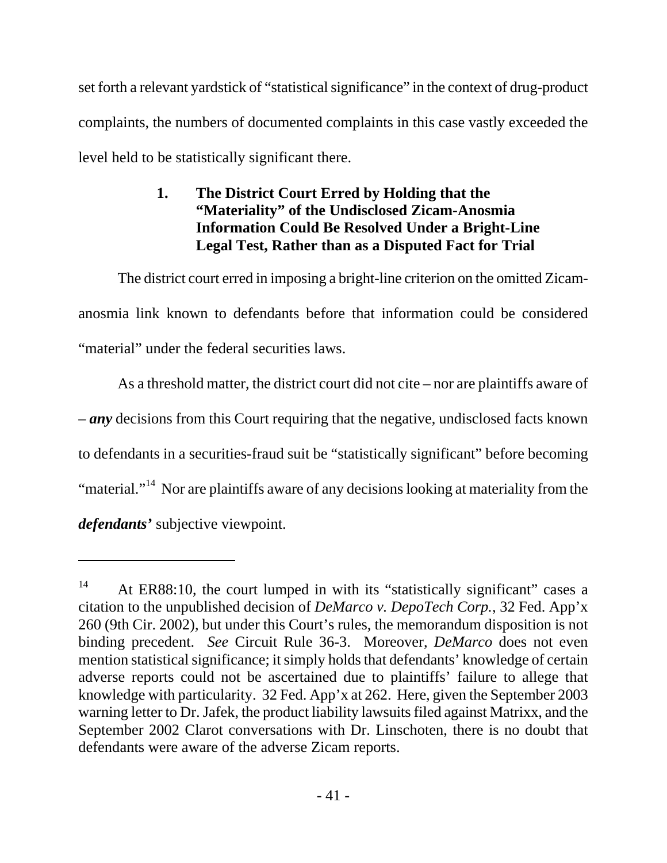set forth a relevant yardstick of "statistical significance" in the context of drug-product complaints, the numbers of documented complaints in this case vastly exceeded the level held to be statistically significant there.

## **1. The District Court Erred by Holding that the "Materiality" of the Undisclosed Zicam-Anosmia Information Could Be Resolved Under a Bright-Line Legal Test, Rather than as a Disputed Fact for Trial**

The district court erred in imposing a bright-line criterion on the omitted Zicamanosmia link known to defendants before that information could be considered "material" under the federal securities laws.

As a threshold matter, the district court did not cite – nor are plaintiffs aware of – *any* decisions from this Court requiring that the negative, undisclosed facts known to defendants in a securities-fraud suit be "statistically significant" before becoming "material."<sup>14</sup> Nor are plaintiffs aware of any decisions looking at materiality from the *defendants'* subjective viewpoint.

l

<sup>&</sup>lt;sup>14</sup> At ER88:10, the court lumped in with its "statistically significant" cases a citation to the unpublished decision of *DeMarco v. DepoTech Corp.*, 32 Fed. App'x 260 (9th Cir. 2002), but under this Court's rules, the memorandum disposition is not binding precedent. *See* Circuit Rule 36-3. Moreover, *DeMarco* does not even mention statistical significance; it simply holds that defendants' knowledge of certain adverse reports could not be ascertained due to plaintiffs' failure to allege that knowledge with particularity. 32 Fed. App'x at 262. Here, given the September 2003 warning letter to Dr. Jafek, the product liability lawsuits filed against Matrixx, and the September 2002 Clarot conversations with Dr. Linschoten, there is no doubt that defendants were aware of the adverse Zicam reports.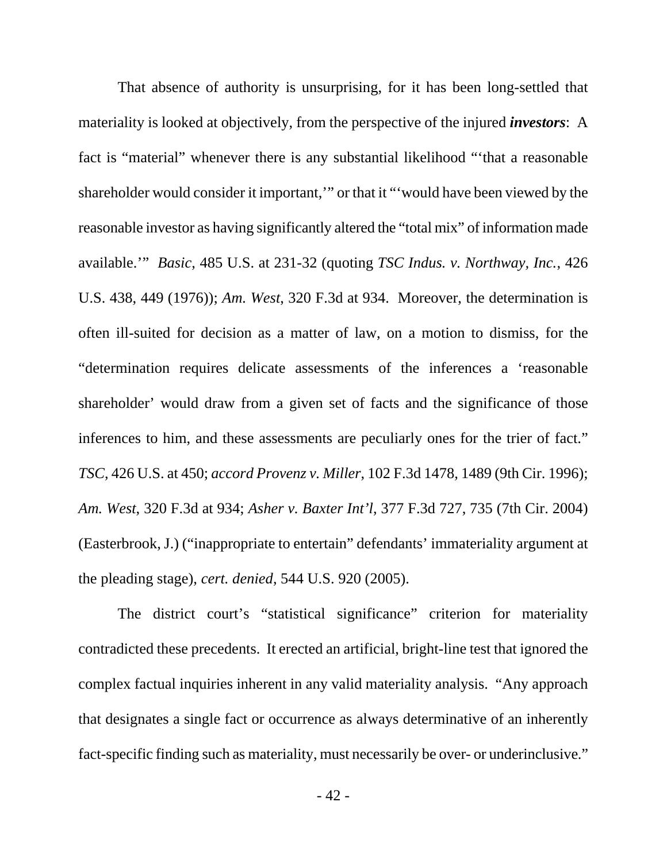That absence of authority is unsurprising, for it has been long-settled that materiality is looked at objectively, from the perspective of the injured *investors*: A fact is "material" whenever there is any substantial likelihood "'that a reasonable shareholder would consider it important,'" or that it "'would have been viewed by the reasonable investor as having significantly altered the "total mix" of information made available.'" *Basic*, 485 U.S. at 231-32 (quoting *TSC Indus. v. Northway, Inc.*, 426 U.S. 438, 449 (1976)); *Am. West*, 320 F.3d at 934. Moreover, the determination is often ill-suited for decision as a matter of law, on a motion to dismiss, for the "determination requires delicate assessments of the inferences a 'reasonable shareholder' would draw from a given set of facts and the significance of those inferences to him, and these assessments are peculiarly ones for the trier of fact." *TSC*, 426 U.S. at 450; *accord Provenz v. Miller*, 102 F.3d 1478, 1489 (9th Cir. 1996); *Am. West*, 320 F.3d at 934; *Asher v. Baxter Int'l*, 377 F.3d 727, 735 (7th Cir. 2004) (Easterbrook, J.) ("inappropriate to entertain" defendants' immateriality argument at the pleading stage), *cert. denied*, 544 U.S. 920 (2005).

The district court's "statistical significance" criterion for materiality contradicted these precedents. It erected an artificial, bright-line test that ignored the complex factual inquiries inherent in any valid materiality analysis. "Any approach that designates a single fact or occurrence as always determinative of an inherently fact-specific finding such as materiality, must necessarily be over- or underinclusive."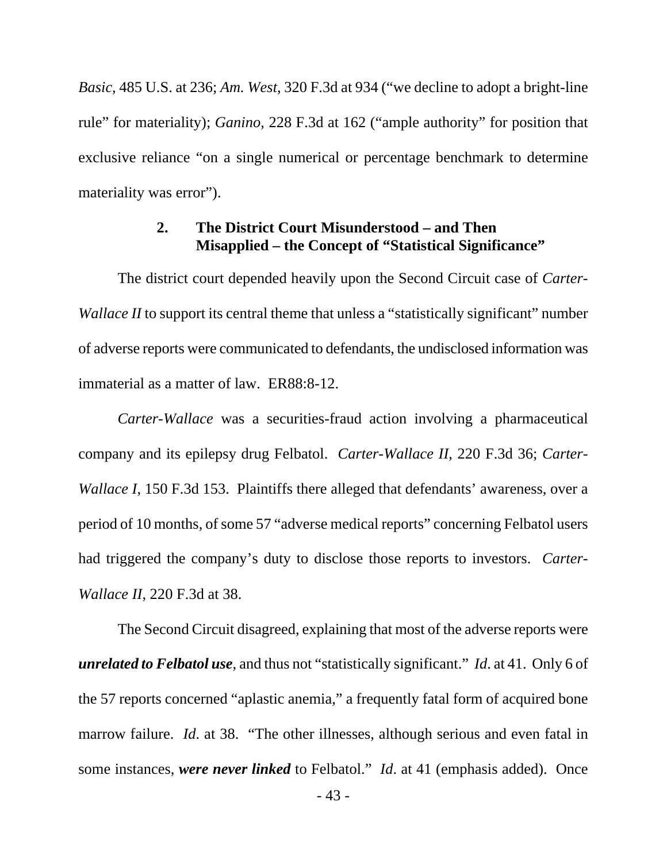*Basic*, 485 U.S. at 236; *Am. West*, 320 F.3d at 934 ("we decline to adopt a bright-line rule" for materiality); *Ganino*, 228 F.3d at 162 ("ample authority" for position that exclusive reliance "on a single numerical or percentage benchmark to determine materiality was error".

## **2. The District Court Misunderstood – and Then Misapplied – the Concept of "Statistical Significance"**

The district court depended heavily upon the Second Circuit case of *Carter-Wallace II* to support its central theme that unless a "statistically significant" number of adverse reports were communicated to defendants, the undisclosed information was immaterial as a matter of law. ER88:8-12.

*Carter-Wallace* was a securities-fraud action involving a pharmaceutical company and its epilepsy drug Felbatol. *Carter-Wallace II*, 220 F.3d 36; *Carter-Wallace I*, 150 F.3d 153. Plaintiffs there alleged that defendants' awareness, over a period of 10 months, of some 57 "adverse medical reports" concerning Felbatol users had triggered the company's duty to disclose those reports to investors. *Carter-Wallace II*, 220 F.3d at 38.

The Second Circuit disagreed, explaining that most of the adverse reports were *unrelated to Felbatol use*, and thus not "statistically significant." *Id*. at 41. Only 6 of the 57 reports concerned "aplastic anemia," a frequently fatal form of acquired bone marrow failure. *Id*. at 38. "The other illnesses, although serious and even fatal in some instances, *were never linked* to Felbatol." *Id*. at 41 (emphasis added). Once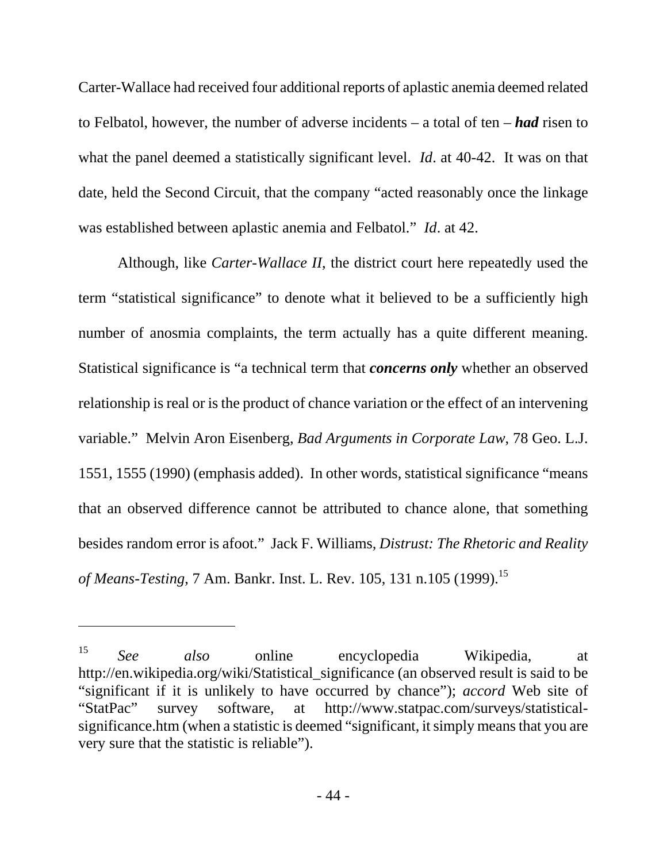Carter-Wallace had received four additional reports of aplastic anemia deemed related to Felbatol, however, the number of adverse incidents – a total of ten – *had* risen to what the panel deemed a statistically significant level. *Id*. at 40-42. It was on that date, held the Second Circuit, that the company "acted reasonably once the linkage was established between aplastic anemia and Felbatol." *Id*. at 42.

Although, like *Carter-Wallace II*, the district court here repeatedly used the term "statistical significance" to denote what it believed to be a sufficiently high number of anosmia complaints, the term actually has a quite different meaning. Statistical significance is "a technical term that *concerns only* whether an observed relationship is real or is the product of chance variation or the effect of an intervening variable." Melvin Aron Eisenberg, *Bad Arguments in Corporate Law*, 78 Geo. L.J. 1551, 1555 (1990) (emphasis added). In other words, statistical significance "means that an observed difference cannot be attributed to chance alone, that something besides random error is afoot." Jack F. Williams, *Distrust: The Rhetoric and Reality of Means-Testing*, 7 Am. Bankr. Inst. L. Rev. 105, 131 n.105 (1999).15

-

<sup>15</sup> *See also* online encyclopedia Wikipedia, at http://en.wikipedia.org/wiki/Statistical\_significance (an observed result is said to be "significant if it is unlikely to have occurred by chance"); *accord* Web site of "StatPac" survey software, at http://www.statpac.com/surveys/statisticalsignificance.htm (when a statistic is deemed "significant, it simply means that you are very sure that the statistic is reliable").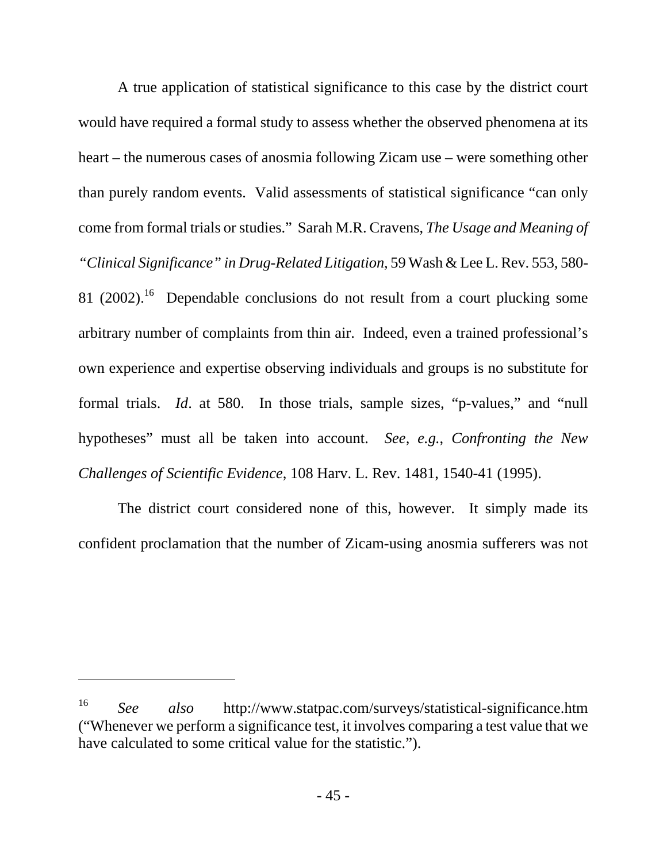A true application of statistical significance to this case by the district court would have required a formal study to assess whether the observed phenomena at its heart – the numerous cases of anosmia following Zicam use – were something other than purely random events. Valid assessments of statistical significance "can only come from formal trials or studies." Sarah M.R. Cravens, *The Usage and Meaning of "Clinical Significance" in Drug-Related Litigation*, 59 Wash & Lee L. Rev. 553, 580- 81 (2002).<sup>16</sup> Dependable conclusions do not result from a court plucking some arbitrary number of complaints from thin air. Indeed, even a trained professional's own experience and expertise observing individuals and groups is no substitute for formal trials. *Id*. at 580. In those trials, sample sizes, "p-values," and "null hypotheses" must all be taken into account. *See, e.g.*, *Confronting the New Challenges of Scientific Evidence*, 108 Harv. L. Rev. 1481, 1540-41 (1995).

The district court considered none of this, however. It simply made its confident proclamation that the number of Zicam-using anosmia sufferers was not

 $\overline{a}$ 

<sup>16</sup> *See also* http://www.statpac.com/surveys/statistical-significance.htm ("Whenever we perform a significance test, it involves comparing a test value that we have calculated to some critical value for the statistic.").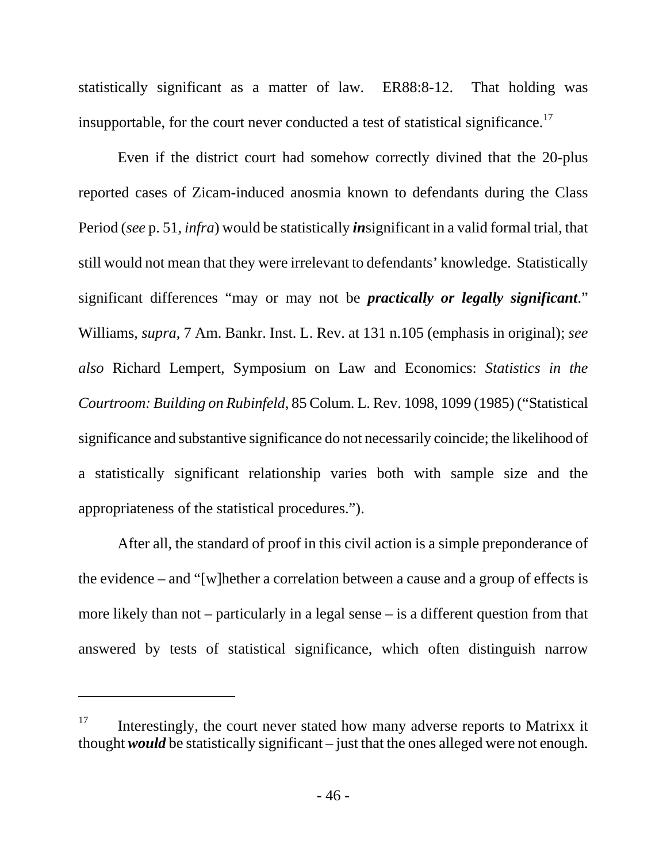statistically significant as a matter of law. ER88:8-12. That holding was insupportable, for the court never conducted a test of statistical significance.<sup>17</sup>

Even if the district court had somehow correctly divined that the 20-plus reported cases of Zicam-induced anosmia known to defendants during the Class Period (*see* p. 51, *infra*) would be statistically *in*significant in a valid formal trial, that still would not mean that they were irrelevant to defendants' knowledge. Statistically significant differences "may or may not be *practically or legally significant*." Williams, *supra*, 7 Am. Bankr. Inst. L. Rev. at 131 n.105 (emphasis in original); *see also* Richard Lempert, Symposium on Law and Economics: *Statistics in the Courtroom: Building on Rubinfeld*, 85 Colum. L. Rev. 1098, 1099 (1985) ("Statistical significance and substantive significance do not necessarily coincide; the likelihood of a statistically significant relationship varies both with sample size and the appropriateness of the statistical procedures.").

After all, the standard of proof in this civil action is a simple preponderance of the evidence – and "[w]hether a correlation between a cause and a group of effects is more likely than not – particularly in a legal sense – is a different question from that answered by tests of statistical significance, which often distinguish narrow

-

 $17$  Interestingly, the court never stated how many adverse reports to Matrixx it thought *would* be statistically significant – just that the ones alleged were not enough.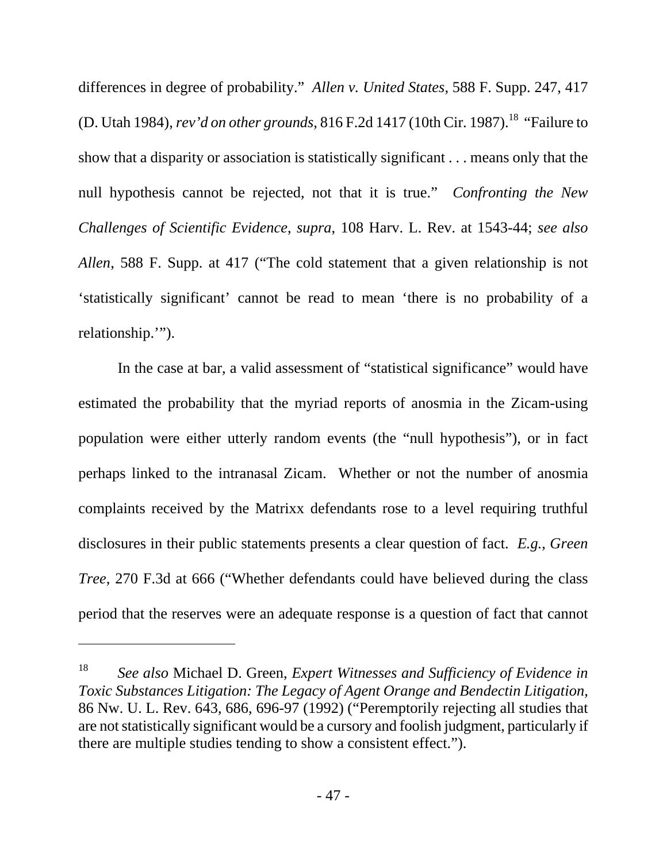differences in degree of probability." *Allen v. United States*, 588 F. Supp. 247, 417 (D. Utah 1984), *rev'd on other grounds*,  $816$  F.2d 1417 (10th Cir. 1987).<sup>18</sup> "Failure to show that a disparity or association is statistically significant . . . means only that the null hypothesis cannot be rejected, not that it is true." *Confronting the New Challenges of Scientific Evidence*, *supra*, 108 Harv. L. Rev. at 1543-44; *see also Allen*, 588 F. Supp. at 417 ("The cold statement that a given relationship is not 'statistically significant' cannot be read to mean 'there is no probability of a relationship.'").

In the case at bar, a valid assessment of "statistical significance" would have estimated the probability that the myriad reports of anosmia in the Zicam-using population were either utterly random events (the "null hypothesis"), or in fact perhaps linked to the intranasal Zicam. Whether or not the number of anosmia complaints received by the Matrixx defendants rose to a level requiring truthful disclosures in their public statements presents a clear question of fact. *E.g.*, *Green Tree*, 270 F.3d at 666 ("Whether defendants could have believed during the class period that the reserves were an adequate response is a question of fact that cannot

-

<sup>18</sup> *See also* Michael D. Green, *Expert Witnesses and Sufficiency of Evidence in Toxic Substances Litigation: The Legacy of Agent Orange and Bendectin Litigation*, 86 Nw. U. L. Rev. 643, 686, 696-97 (1992) ("Peremptorily rejecting all studies that are not statistically significant would be a cursory and foolish judgment, particularly if there are multiple studies tending to show a consistent effect.").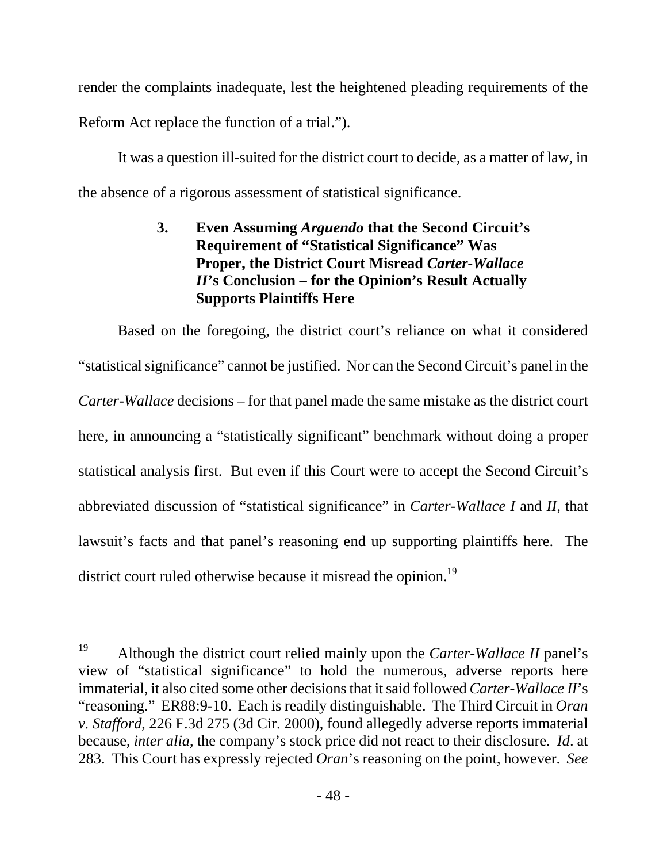render the complaints inadequate, lest the heightened pleading requirements of the Reform Act replace the function of a trial.").

It was a question ill-suited for the district court to decide, as a matter of law, in the absence of a rigorous assessment of statistical significance.

## **3. Even Assuming** *Arguendo* **that the Second Circuit's Requirement of "Statistical Significance" Was Proper, the District Court Misread** *Carter-Wallace II***'s Conclusion – for the Opinion's Result Actually Supports Plaintiffs Here**

Based on the foregoing, the district court's reliance on what it considered "statistical significance" cannot be justified. Nor can the Second Circuit's panel in the *Carter-Wallace* decisions – for that panel made the same mistake as the district court here, in announcing a "statistically significant" benchmark without doing a proper statistical analysis first. But even if this Court were to accept the Second Circuit's abbreviated discussion of "statistical significance" in *Carter-Wallace I* and *II*, that lawsuit's facts and that panel's reasoning end up supporting plaintiffs here. The district court ruled otherwise because it misread the opinion.<sup>19</sup>

 $\overline{a}$ 

<sup>19</sup> Although the district court relied mainly upon the *Carter-Wallace II* panel's view of "statistical significance" to hold the numerous, adverse reports here immaterial, it also cited some other decisions that it said followed *Carter-Wallace II*'s "reasoning." ER88:9-10. Each is readily distinguishable. The Third Circuit in *Oran v. Stafford*, 226 F.3d 275 (3d Cir. 2000), found allegedly adverse reports immaterial because, *inter alia*, the company's stock price did not react to their disclosure. *Id*. at 283. This Court has expressly rejected *Oran*'s reasoning on the point, however. *See*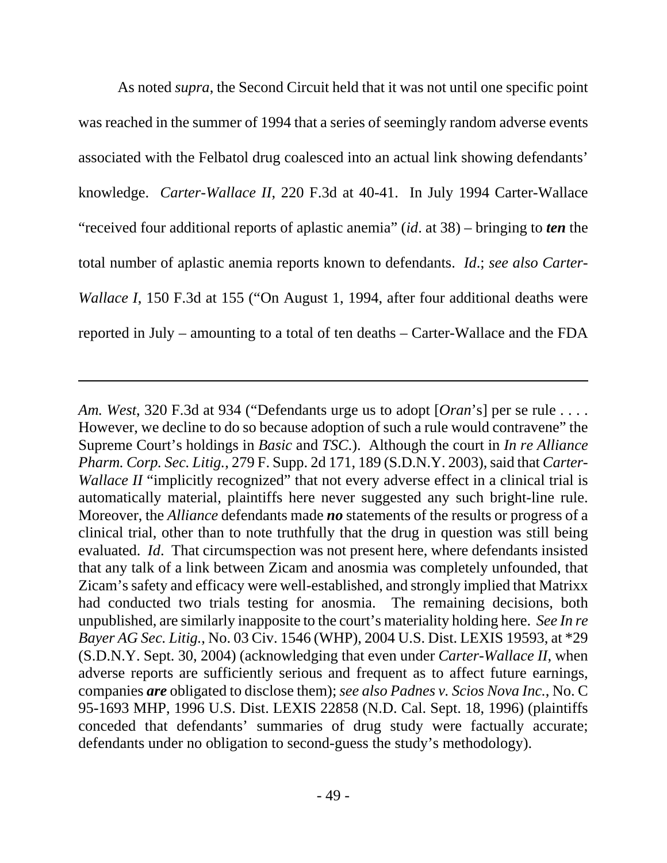As noted *supra*, the Second Circuit held that it was not until one specific point was reached in the summer of 1994 that a series of seemingly random adverse events associated with the Felbatol drug coalesced into an actual link showing defendants' knowledge. *Carter-Wallace II*, 220 F.3d at 40-41. In July 1994 Carter-Wallace "received four additional reports of aplastic anemia" (*id*. at 38) – bringing to *ten* the total number of aplastic anemia reports known to defendants. *Id*.; *see also Carter-Wallace I*, 150 F.3d at 155 ("On August 1, 1994, after four additional deaths were reported in July – amounting to a total of ten deaths – Carter-Wallace and the FDA

-

*Am. West*, 320 F.3d at 934 ("Defendants urge us to adopt [*Oran*'s] per se rule . . . . However, we decline to do so because adoption of such a rule would contravene" the Supreme Court's holdings in *Basic* and *TSC*.). Although the court in *In re Alliance Pharm. Corp. Sec. Litig.*, 279 F. Supp. 2d 171, 189 (S.D.N.Y. 2003), said that *Carter-Wallace II* "implicitly recognized" that not every adverse effect in a clinical trial is automatically material, plaintiffs here never suggested any such bright-line rule. Moreover, the *Alliance* defendants made *no* statements of the results or progress of a clinical trial, other than to note truthfully that the drug in question was still being evaluated. *Id*. That circumspection was not present here, where defendants insisted that any talk of a link between Zicam and anosmia was completely unfounded, that Zicam's safety and efficacy were well-established, and strongly implied that Matrixx had conducted two trials testing for anosmia. The remaining decisions, both unpublished, are similarly inapposite to the court's materiality holding here. *See In re Bayer AG Sec. Litig.*, No. 03 Civ. 1546 (WHP), 2004 U.S. Dist. LEXIS 19593, at \*29 (S.D.N.Y. Sept. 30, 2004) (acknowledging that even under *Carter-Wallace II*, when adverse reports are sufficiently serious and frequent as to affect future earnings, companies *are* obligated to disclose them); *see also Padnes v. Scios Nova Inc.*, No. C 95-1693 MHP, 1996 U.S. Dist. LEXIS 22858 (N.D. Cal. Sept. 18, 1996) (plaintiffs conceded that defendants' summaries of drug study were factually accurate; defendants under no obligation to second-guess the study's methodology).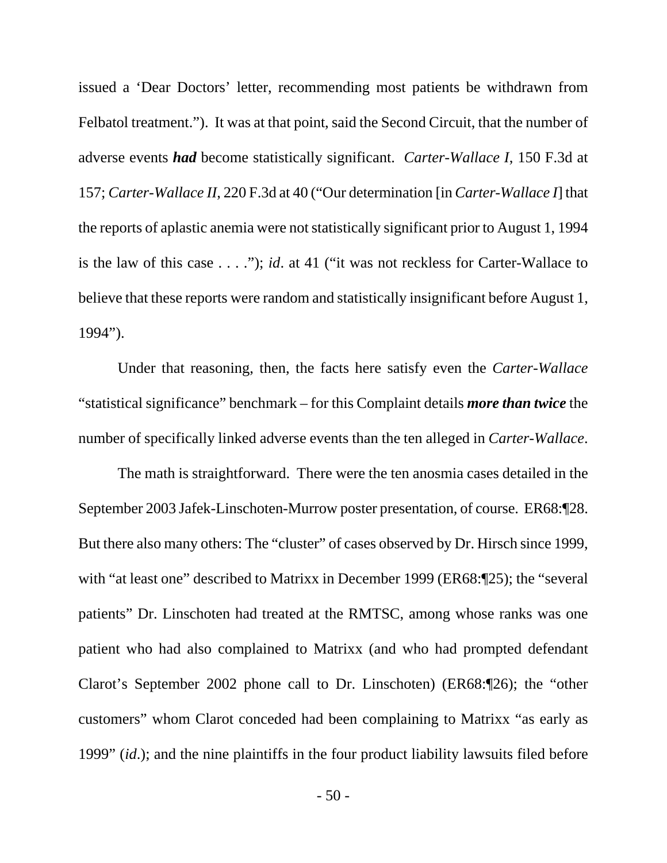issued a 'Dear Doctors' letter, recommending most patients be withdrawn from Felbatol treatment."). It was at that point, said the Second Circuit, that the number of adverse events *had* become statistically significant. *Carter-Wallace I*, 150 F.3d at 157; *Carter-Wallace II*, 220 F.3d at 40 ("Our determination [in *Carter-Wallace I*] that the reports of aplastic anemia were not statistically significant prior to August 1, 1994 is the law of this case . . . ."); *id*. at 41 ("it was not reckless for Carter-Wallace to believe that these reports were random and statistically insignificant before August 1, 1994").

Under that reasoning, then, the facts here satisfy even the *Carter-Wallace* "statistical significance" benchmark – for this Complaint details *more than twice* the number of specifically linked adverse events than the ten alleged in *Carter-Wallace*.

The math is straightforward. There were the ten anosmia cases detailed in the September 2003 Jafek-Linschoten-Murrow poster presentation, of course. ER68:¶28. But there also many others: The "cluster" of cases observed by Dr. Hirsch since 1999, with "at least one" described to Matrixx in December 1999 (ER68:¶25); the "several patients" Dr. Linschoten had treated at the RMTSC, among whose ranks was one patient who had also complained to Matrixx (and who had prompted defendant Clarot's September 2002 phone call to Dr. Linschoten) (ER68:¶26); the "other customers" whom Clarot conceded had been complaining to Matrixx "as early as 1999" (*id*.); and the nine plaintiffs in the four product liability lawsuits filed before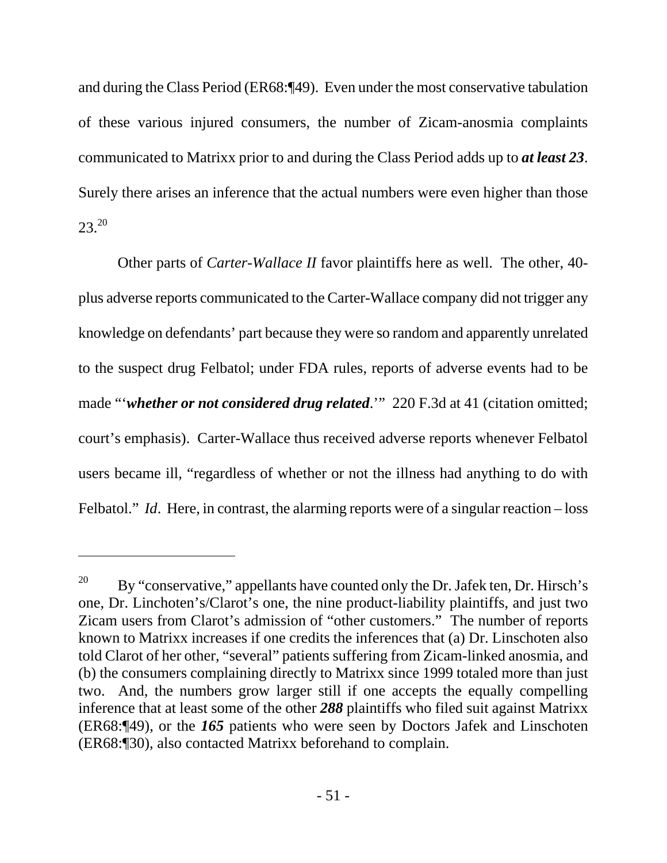and during the Class Period (ER68:¶49). Even under the most conservative tabulation of these various injured consumers, the number of Zicam-anosmia complaints communicated to Matrixx prior to and during the Class Period adds up to *at least 23*. Surely there arises an inference that the actual numbers were even higher than those  $23.20$ 

Other parts of *Carter-Wallace II* favor plaintiffs here as well. The other, 40 plus adverse reports communicated to the Carter-Wallace company did not trigger any knowledge on defendants' part because they were so random and apparently unrelated to the suspect drug Felbatol; under FDA rules, reports of adverse events had to be made "*'whether or not considered drug related*.'" 220 F.3d at 41 (citation omitted; court's emphasis). Carter-Wallace thus received adverse reports whenever Felbatol users became ill, "regardless of whether or not the illness had anything to do with Felbatol." *Id.* Here, in contrast, the alarming reports were of a singular reaction – loss

 $\overline{a}$ 

<sup>&</sup>lt;sup>20</sup> By "conservative," appellants have counted only the Dr. Jafek ten, Dr. Hirsch's one, Dr. Linchoten's/Clarot's one, the nine product-liability plaintiffs, and just two Zicam users from Clarot's admission of "other customers." The number of reports known to Matrixx increases if one credits the inferences that (a) Dr. Linschoten also told Clarot of her other, "several" patients suffering from Zicam-linked anosmia, and (b) the consumers complaining directly to Matrixx since 1999 totaled more than just two. And, the numbers grow larger still if one accepts the equally compelling inference that at least some of the other *288* plaintiffs who filed suit against Matrixx (ER68:¶49), or the *165* patients who were seen by Doctors Jafek and Linschoten (ER68:¶30), also contacted Matrixx beforehand to complain.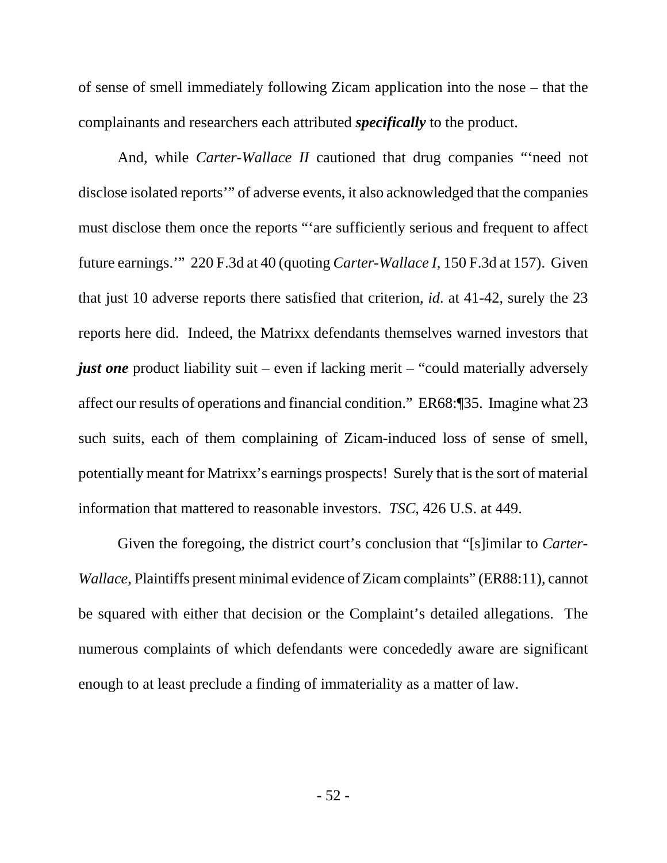of sense of smell immediately following Zicam application into the nose – that the complainants and researchers each attributed *specifically* to the product.

And, while *Carter-Wallace II* cautioned that drug companies "'need not disclose isolated reports'" of adverse events, it also acknowledged that the companies must disclose them once the reports "'are sufficiently serious and frequent to affect future earnings.'" 220 F.3d at 40 (quoting *Carter-Wallace I*, 150 F.3d at 157). Given that just 10 adverse reports there satisfied that criterion, *id*. at 41-42, surely the 23 reports here did. Indeed, the Matrixx defendants themselves warned investors that *just one* product liability suit – even if lacking merit – "could materially adversely affect our results of operations and financial condition." ER68:¶35. Imagine what 23 such suits, each of them complaining of Zicam-induced loss of sense of smell, potentially meant for Matrixx's earnings prospects! Surely that is the sort of material information that mattered to reasonable investors. *TSC*, 426 U.S. at 449.

Given the foregoing, the district court's conclusion that "[s]imilar to *Carter-Wallace*, Plaintiffs present minimal evidence of Zicam complaints" (ER88:11), cannot be squared with either that decision or the Complaint's detailed allegations. The numerous complaints of which defendants were concededly aware are significant enough to at least preclude a finding of immateriality as a matter of law.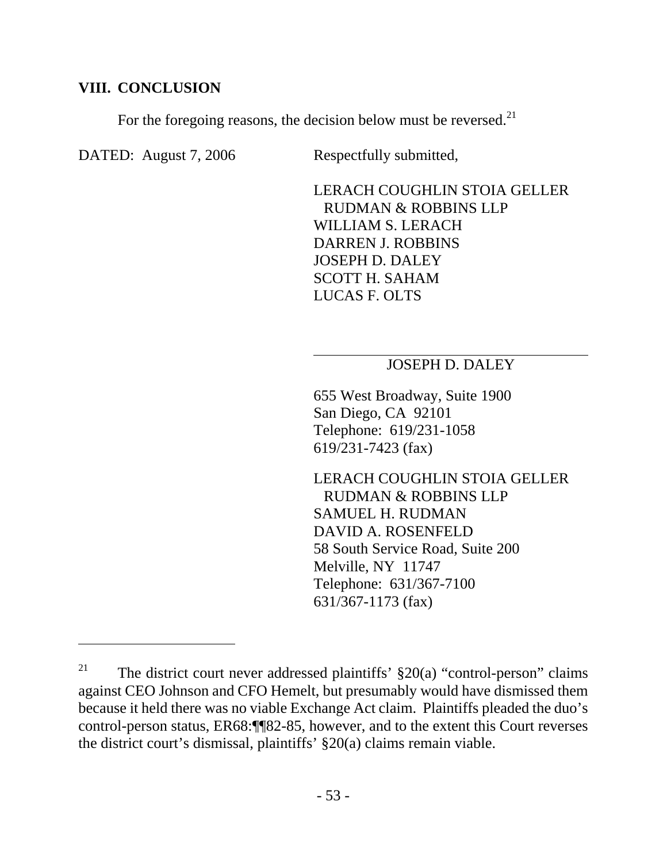## **VIII. CONCLUSION**

For the foregoing reasons, the decision below must be reversed.<sup>21</sup>

DATED: August 7, 2006 Respectfully submitted,

 $\overline{a}$ 

LERACH COUGHLIN STOIA GELLER RUDMAN & ROBBINS LLP WILLIAM S. LERACH DARREN J. ROBBINS JOSEPH D. DALEY SCOTT H. SAHAM LUCAS F. OLTS

## JOSEPH D. DALEY

655 West Broadway, Suite 1900 San Diego, CA 92101 Telephone: 619/231-1058 619/231-7423 (fax)

LERACH COUGHLIN STOIA GELLER RUDMAN & ROBBINS LLP SAMUEL H. RUDMAN DAVID A. ROSENFELD 58 South Service Road, Suite 200 Melville, NY 11747 Telephone: 631/367-7100 631/367-1173 (fax)

<sup>&</sup>lt;sup>21</sup> The district court never addressed plaintiffs'  $\S 20(a)$  "control-person" claims against CEO Johnson and CFO Hemelt, but presumably would have dismissed them because it held there was no viable Exchange Act claim. Plaintiffs pleaded the duo's control-person status, ER68:¶¶82-85, however, and to the extent this Court reverses the district court's dismissal, plaintiffs' §20(a) claims remain viable.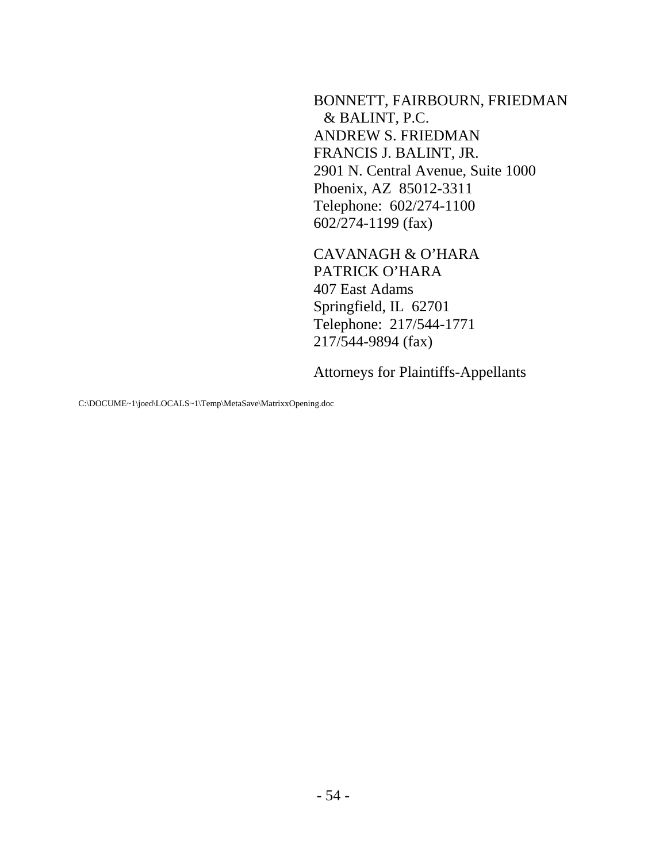BONNETT, FAIRBOURN, FRIEDMAN & BALINT, P.C. ANDREW S. FRIEDMAN FRANCIS J. BALINT, JR. 2901 N. Central Avenue, Suite 1000 Phoenix, AZ 85012-3311 Telephone: 602/274-1100 602/274-1199 (fax)

CAVANAGH & O'HARA PATRICK O'HARA 407 East Adams Springfield, IL 62701 Telephone: 217/544-1771 217/544-9894 (fax)

Attorneys for Plaintiffs-Appellants

C:\DOCUME~1\joed\LOCALS~1\Temp\MetaSave\MatrixxOpening.doc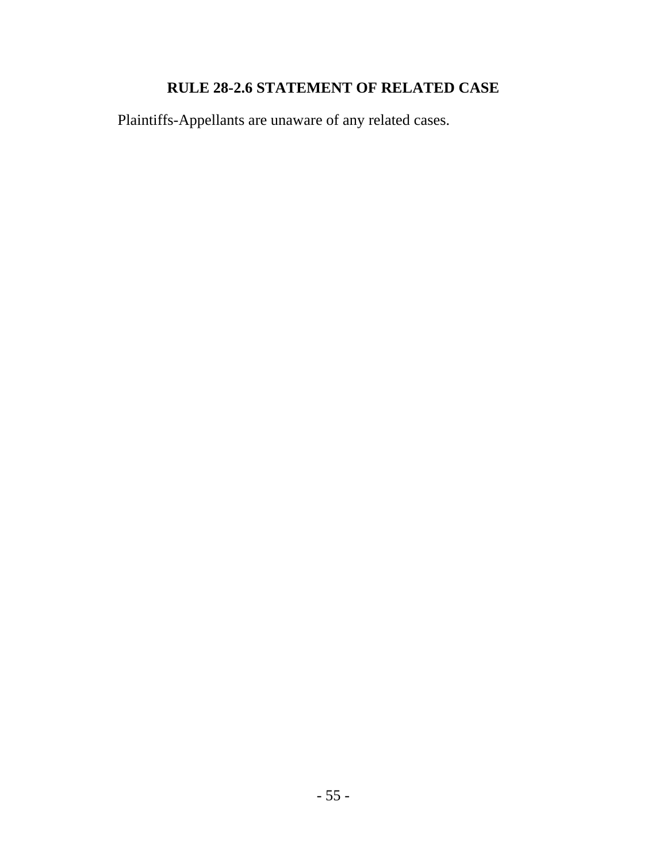# **RULE 28-2.6 STATEMENT OF RELATED CASE**

Plaintiffs-Appellants are unaware of any related cases.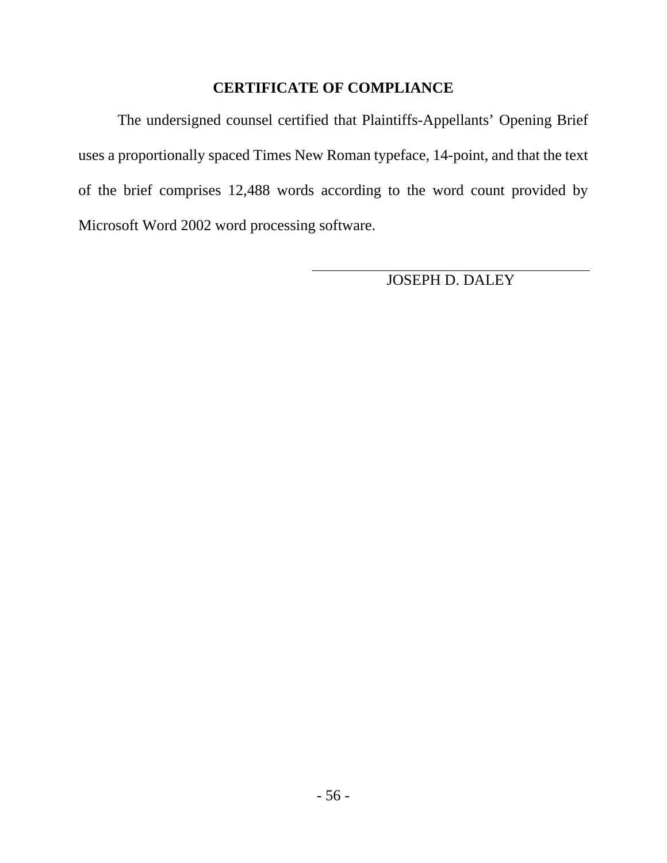## **CERTIFICATE OF COMPLIANCE**

The undersigned counsel certified that Plaintiffs-Appellants' Opening Brief uses a proportionally spaced Times New Roman typeface, 14-point, and that the text of the brief comprises 12,488 words according to the word count provided by Microsoft Word 2002 word processing software.

JOSEPH D. DALEY